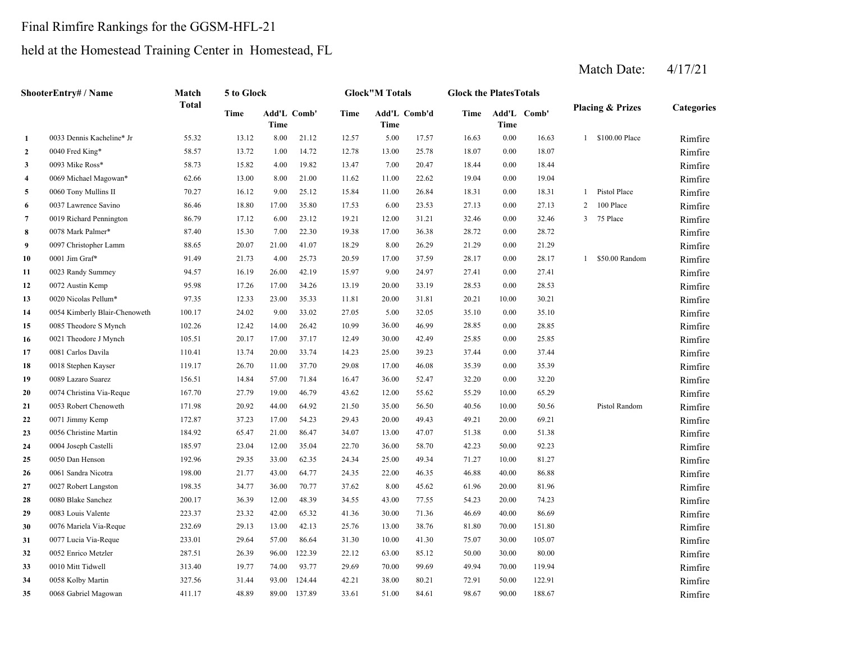# Final Rimfire Rankings for the GGSM-HFL-21

# held at the Homestead Training Center in Homestead, FL

|                | <b>ShooterEntry# / Name</b>   | Match        | 5 to Glock |                     |        |       | <b>Glock</b> "M Totals      |       | <b>Glock the Plates Totals</b> |          |             |              |                             |            |
|----------------|-------------------------------|--------------|------------|---------------------|--------|-------|-----------------------------|-------|--------------------------------|----------|-------------|--------------|-----------------------------|------------|
|                |                               | <b>Total</b> | Time       | Add'L Comb'<br>Time |        | Time  | Add'L Comb'd<br><b>Time</b> |       | Time                           | Time     | Add'L Comb' |              | <b>Placing &amp; Prizes</b> | Categories |
| 1              | 0033 Dennis Kacheline* Jr     | 55.32        | 13.12      | 8.00                | 21.12  | 12.57 | 5.00                        | 17.57 | 16.63                          | 0.00     | 16.63       |              | 1 \$100.00 Place            | Rimfire    |
| $\overline{2}$ | 0040 Fred King*               | 58.57        | 13.72      | 1.00                | 14.72  | 12.78 | 13.00                       | 25.78 | 18.07                          | 0.00     | 18.07       |              |                             | Rimfire    |
| 3              | 0093 Mike Ross*               | 58.73        | 15.82      | 4.00                | 19.82  | 13.47 | 7.00                        | 20.47 | 18.44                          | 0.00     | 18.44       |              |                             | Rimfire    |
| $\overline{4}$ | 0069 Michael Magowan*         | 62.66        | 13.00      | 8.00                | 21.00  | 11.62 | 11.00                       | 22.62 | 19.04                          | 0.00     | 19.04       |              |                             | Rimfire    |
| 5              | 0060 Tony Mullins II          | 70.27        | 16.12      | 9.00                | 25.12  | 15.84 | 11.00                       | 26.84 | 18.31                          | 0.00     | 18.31       | $\mathbf{1}$ | Pistol Place                | Rimfire    |
| 6              | 0037 Lawrence Savino          | 86.46        | 18.80      | 17.00               | 35.80  | 17.53 | 6.00                        | 23.53 | 27.13                          | 0.00     | 27.13       | 2            | 100 Place                   | Rimfire    |
| $\overline{7}$ | 0019 Richard Pennington       | 86.79        | 17.12      | 6.00                | 23.12  | 19.21 | 12.00                       | 31.21 | 32.46                          | 0.00     | 32.46       | 3            | 75 Place                    | Rimfire    |
| 8              | 0078 Mark Palmer*             | 87.40        | 15.30      | 7.00                | 22.30  | 19.38 | 17.00                       | 36.38 | 28.72                          | $0.00\,$ | 28.72       |              |                             | Rimfire    |
| 9              | 0097 Christopher Lamm         | 88.65        | 20.07      | 21.00               | 41.07  | 18.29 | 8.00                        | 26.29 | 21.29                          | 0.00     | 21.29       |              |                             | Rimfire    |
| 10             | 0001 Jim Graf*                | 91.49        | 21.73      | 4.00                | 25.73  | 20.59 | 17.00                       | 37.59 | 28.17                          | 0.00     | 28.17       |              | 1 \$50.00 Random            | Rimfire    |
| 11             | 0023 Randy Summey             | 94.57        | 16.19      | 26.00               | 42.19  | 15.97 | 9.00                        | 24.97 | 27.41                          | 0.00     | 27.41       |              |                             | Rimfire    |
| 12             | 0072 Austin Kemp              | 95.98        | 17.26      | 17.00               | 34.26  | 13.19 | 20.00                       | 33.19 | 28.53                          | 0.00     | 28.53       |              |                             | Rimfire    |
| 13             | 0020 Nicolas Pellum*          | 97.35        | 12.33      | 23.00               | 35.33  | 11.81 | 20.00                       | 31.81 | 20.21                          | 10.00    | 30.21       |              |                             | Rimfire    |
| 14             | 0054 Kimberly Blair-Chenoweth | 100.17       | 24.02      | 9.00                | 33.02  | 27.05 | 5.00                        | 32.05 | 35.10                          | 0.00     | 35.10       |              |                             | Rimfire    |
| 15             | 0085 Theodore S Mynch         | 102.26       | 12.42      | 14.00               | 26.42  | 10.99 | 36.00                       | 46.99 | 28.85                          | 0.00     | 28.85       |              |                             | Rimfire    |
| 16             | 0021 Theodore J Mynch         | 105.51       | 20.17      | 17.00               | 37.17  | 12.49 | 30.00                       | 42.49 | 25.85                          | 0.00     | 25.85       |              |                             | Rimfire    |
| 17             | 0081 Carlos Davila            | 110.41       | 13.74      | 20.00               | 33.74  | 14.23 | 25.00                       | 39.23 | 37.44                          | 0.00     | 37.44       |              |                             | Rimfire    |
| 18             | 0018 Stephen Kayser           | 119.17       | 26.70      | 11.00               | 37.70  | 29.08 | 17.00                       | 46.08 | 35.39                          | 0.00     | 35.39       |              |                             | Rimfire    |
| 19             | 0089 Lazaro Suarez            | 156.51       | 14.84      | 57.00               | 71.84  | 16.47 | 36.00                       | 52.47 | 32.20                          | 0.00     | 32.20       |              |                             | Rimfire    |
| 20             | 0074 Christina Via-Reque      | 167.70       | 27.79      | 19.00               | 46.79  | 43.62 | 12.00                       | 55.62 | 55.29                          | 10.00    | 65.29       |              |                             | Rimfire    |
| 21             | 0053 Robert Chenoweth         | 171.98       | 20.92      | 44.00               | 64.92  | 21.50 | 35.00                       | 56.50 | 40.56                          | 10.00    | 50.56       |              | Pistol Random               | Rimfire    |
| 22             | 0071 Jimmy Kemp               | 172.87       | 37.23      | 17.00               | 54.23  | 29.43 | 20.00                       | 49.43 | 49.21                          | 20.00    | 69.21       |              |                             | Rimfire    |
| 23             | 0056 Christine Martin         | 184.92       | 65.47      | 21.00               | 86.47  | 34.07 | 13.00                       | 47.07 | 51.38                          | 0.00     | 51.38       |              |                             | Rimfire    |
| 24             | 0004 Joseph Castelli          | 185.97       | 23.04      | 12.00               | 35.04  | 22.70 | 36.00                       | 58.70 | 42.23                          | 50.00    | 92.23       |              |                             | Rimfire    |
| 25             | 0050 Dan Henson               | 192.96       | 29.35      | 33.00               | 62.35  | 24.34 | 25.00                       | 49.34 | 71.27                          | 10.00    | 81.27       |              |                             | Rimfire    |
| 26             | 0061 Sandra Nicotra           | 198.00       | 21.77      | 43.00               | 64.77  | 24.35 | 22.00                       | 46.35 | 46.88                          | 40.00    | 86.88       |              |                             | Rimfire    |
| 27             | 0027 Robert Langston          | 198.35       | 34.77      | 36.00               | 70.77  | 37.62 | 8.00                        | 45.62 | 61.96                          | 20.00    | 81.96       |              |                             | Rimfire    |
| 28             | 0080 Blake Sanchez            | 200.17       | 36.39      | 12.00               | 48.39  | 34.55 | 43.00                       | 77.55 | 54.23                          | 20.00    | 74.23       |              |                             | Rimfire    |
| 29             | 0083 Louis Valente            | 223.37       | 23.32      | 42.00               | 65.32  | 41.36 | 30.00                       | 71.36 | 46.69                          | 40.00    | 86.69       |              |                             | Rimfire    |
| 30             | 0076 Mariela Via-Reque        | 232.69       | 29.13      | 13.00               | 42.13  | 25.76 | 13.00                       | 38.76 | 81.80                          | 70.00    | 151.80      |              |                             | Rimfire    |
| 31             | 0077 Lucia Via-Reque          | 233.01       | 29.64      | 57.00               | 86.64  | 31.30 | 10.00                       | 41.30 | 75.07                          | 30.00    | 105.07      |              |                             | Rimfire    |
| 32             | 0052 Enrico Metzler           | 287.51       | 26.39      | 96.00               | 122.39 | 22.12 | 63.00                       | 85.12 | 50.00                          | 30.00    | 80.00       |              |                             | Rimfire    |
| 33             | 0010 Mitt Tidwell             | 313.40       | 19.77      | 74.00               | 93.77  | 29.69 | 70.00                       | 99.69 | 49.94                          | 70.00    | 119.94      |              |                             | Rimfire    |
| 34             | 0058 Kolby Martin             | 327.56       | 31.44      | 93.00               | 124.44 | 42.21 | 38.00                       | 80.21 | 72.91                          | 50.00    | 122.91      |              |                             | Rimfire    |
| 35             | 0068 Gabriel Magowan          | 411.17       | 48.89      | 89.00               | 137.89 | 33.61 | 51.00                       | 84.61 | 98.67                          | 90.00    | 188.67      |              |                             | Rimfire    |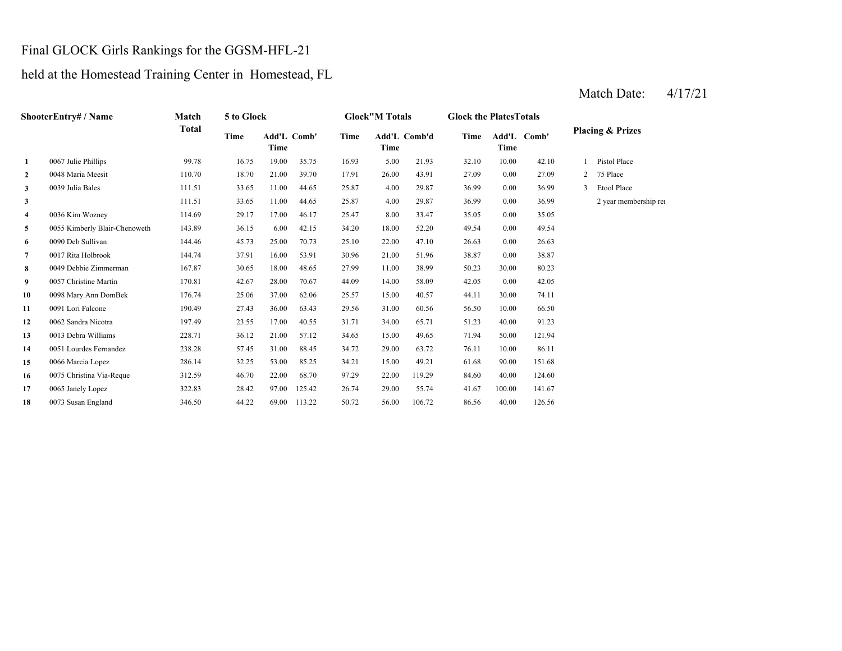#### Final GLOCK Girls Rankings for the GGSM-HFL-21

held at the Homestead Training Center in Homestead, FL

**2**2 0048 Maria Meesit 110.70 18.70 21.00 39.70 17.91 26.00 43.91 27.09 **3** 4.00 36.99 0039 Julia Bales 111.51 33.65 11.00 44.65 25.87 **33 111.51 111.51 11.00 44.65 25.87 4.00 29.87 36.99 4** 8.00 35.05 0036 Kim Wozney 114.69 29.17 17.00 46.17 25.47 **5** 18.00 49.54 0055 Kimberly Blair-Chenoweth 143.89 36.15 6.00 42.15 34.20 52.20 **6** 22.00 26.63 0090 Deb Sullivan 144.46 45.73 25.00 70.73 25.10 47.10 0.00 **7** 21.00 38.87 0017 Rita Holbrook 144.74 37.91 16.00 53.91 30.96 51.96 0.00 38.87 **88** 0049 Debbie Zimmerman 167.87 30.65 18.00 48.65 27.99 11.00 38.99 50.23 **99** 0057 Christine Martin 170.81 42.67 28.00 70.67 44.09 14.00 58.09 42.05 **10** 15.00 44.11 0098 Mary Ann DomBek 176.74 25.06 37.00 62.06 25.57 40.57 30.00 **11**0091 Lori Falcone 190.49 27.43 36.00 63.43 29.56 31.00 60.56 56.50 **12**2 0062 Sandra Nicotra 197.49 23.55 17.00 40.55 31.71 34.00 65.71 51.23 **133** 0013 Debra Williams 228.71 36.12 21.00 57.12 34.65 15.00 49.65 71.94 **14**4 0051 Lourdes Fernandez 238.28 57.45 31.00 88.45 34.72 29.00 63.72 76.11 10.00 **15**5 0066 Marcia Lopez 286.14 32.25 53.00 85.25 34.21 15.00 49.21 61.68 90.00 151.68 **16** 22.00 84.60 0075 Christina Via-Reque 312.59 46.70 22.00 68.70 97.29 **17** 29.00 41.67 0065 Janely Lopez 322.83 28.42 97.00 125.42 26.74 55.74 **18** 56.00 86.56 126.56 0073 Susan England 346.50 44.22 69.00 113.22 50.72 106.72 40.00 100.00 141.67 119.29 84.60 40.00 124.60 86.11 50.00 121.94 65.71 51.23 40.00 91.23 74.11 0091 Lori Falcone 190.49 27.43 36.00 63.43 29.56 60.56 10.00 66.50 0.00 42.05 38.99 30.00 80.23 26.630.00 49.54 33.47 0.00 35.05 29.87 0.00 36.99 2 year membership ren 29.87 36.99 0.00 36.99 3 Etool Place 111.51 33.65 11.00 44.65 25.87 17.91 26.00 43.91 27.09 0.00 27.09 2 75 Place 32.10 10.00 42.10 1 Pistol Place **Comb' 1**0067 Julie Phillips 99.78 16.75 19.00 35.75 16.93 5.00 21.93 **Comb' Time Add'L Comb'd Time Add'L TimeTimeShooterEntry# / Name Match Total 5 to Glock Glock"M Totals Glock the PlatesTotals Placing & Prizes Time Add'L Time**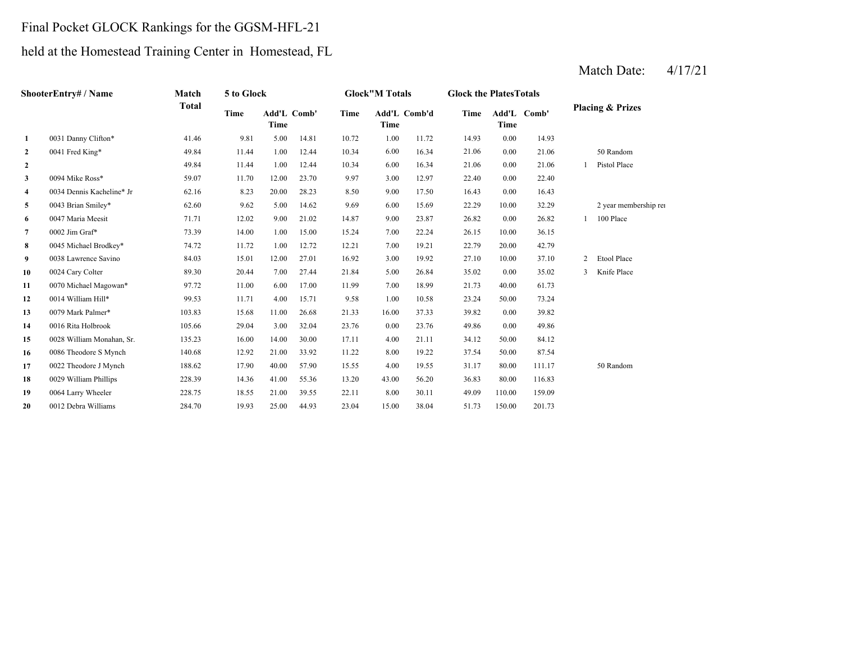### Final Pocket GLOCK Rankings for the GGSM-HFL-21

## held at the Homestead Training Center in Homestead, FL

|              | ShooterEntry# / Name      | Match        | 5 to Glock  |       |             |             | <b>Glock"M Totals</b> |              | <b>Glock the PlatesTotals</b> |               |        |   |                             |
|--------------|---------------------------|--------------|-------------|-------|-------------|-------------|-----------------------|--------------|-------------------------------|---------------|--------|---|-----------------------------|
|              |                           | <b>Total</b> | <b>Time</b> | Time  | Add'L Comb' | <b>Time</b> | Time                  | Add'L Comb'd | <b>Time</b>                   | Add'L<br>Time | Comb'  |   | <b>Placing &amp; Prizes</b> |
| $\mathbf{1}$ | 0031 Danny Clifton*       | 41.46        | 9.81        | 5.00  | 14.81       | 10.72       | 1.00                  | 11.72        | 14.93                         | 0.00          | 14.93  |   |                             |
| $\mathbf{2}$ | 0041 Fred King*           | 49.84        | 11.44       | 1.00  | 12.44       | 10.34       | 6.00                  | 16.34        | 21.06                         | 0.00          | 21.06  |   | 50 Random                   |
| $\mathbf{2}$ |                           | 49.84        | 11.44       | 1.00  | 12.44       | 10.34       | 6.00                  | 16.34        | 21.06                         | 0.00          | 21.06  |   | Pistol Place                |
| 3            | 0094 Mike Ross*           | 59.07        | 11.70       | 12.00 | 23.70       | 9.97        | 3.00                  | 12.97        | 22.40                         | 0.00          | 22.40  |   |                             |
| 4            | 0034 Dennis Kacheline* Jr | 62.16        | 8.23        | 20.00 | 28.23       | 8.50        | 9.00                  | 17.50        | 16.43                         | 0.00          | 16.43  |   |                             |
| 5            | 0043 Brian Smiley*        | 62.60        | 9.62        | 5.00  | 14.62       | 9.69        | 6.00                  | 15.69        | 22.29                         | 10.00         | 32.29  |   | 2 year membership rei       |
| 6            | 0047 Maria Meesit         | 71.71        | 12.02       | 9.00  | 21.02       | 14.87       | 9.00                  | 23.87        | 26.82                         | 0.00          | 26.82  |   | 100 Place                   |
| 7            | 0002 Jim Graf*            | 73.39        | 14.00       | 1.00  | 15.00       | 15.24       | 7.00                  | 22.24        | 26.15                         | 10.00         | 36.15  |   |                             |
| 8            | 0045 Michael Brodkey*     | 74.72        | 11.72       | 1.00  | 12.72       | 12.21       | 7.00                  | 19.21        | 22.79                         | 20.00         | 42.79  |   |                             |
| 9            | 0038 Lawrence Savino      | 84.03        | 15.01       | 12.00 | 27.01       | 16.92       | 3.00                  | 19.92        | 27.10                         | 10.00         | 37.10  | 2 | Etool Place                 |
| 10           | 0024 Cary Colter          | 89.30        | 20.44       | 7.00  | 27.44       | 21.84       | 5.00                  | 26.84        | 35.02                         | 0.00          | 35.02  | 3 | Knife Place                 |
| 11           | 0070 Michael Magowan*     | 97.72        | 11.00       | 6.00  | 17.00       | 11.99       | 7.00                  | 18.99        | 21.73                         | 40.00         | 61.73  |   |                             |
| 12           | 0014 William Hill*        | 99.53        | 11.71       | 4.00  | 15.71       | 9.58        | 1.00                  | 10.58        | 23.24                         | 50.00         | 73.24  |   |                             |
| 13           | 0079 Mark Palmer*         | 103.83       | 15.68       | 11.00 | 26.68       | 21.33       | 16.00                 | 37.33        | 39.82                         | 0.00          | 39.82  |   |                             |
| 14           | 0016 Rita Holbrook        | 105.66       | 29.04       | 3.00  | 32.04       | 23.76       | 0.00                  | 23.76        | 49.86                         | 0.00          | 49.86  |   |                             |
| 15           | 0028 William Monahan, Sr. | 135.23       | 16.00       | 14.00 | 30.00       | 17.11       | 4.00                  | 21.11        | 34.12                         | 50.00         | 84.12  |   |                             |
| 16           | 0086 Theodore S Mynch     | 140.68       | 12.92       | 21.00 | 33.92       | 11.22       | 8.00                  | 19.22        | 37.54                         | 50.00         | 87.54  |   |                             |
| 17           | 0022 Theodore J Mynch     | 188.62       | 17.90       | 40.00 | 57.90       | 15.55       | 4.00                  | 19.55        | 31.17                         | 80.00         | 111.17 |   | 50 Random                   |
| 18           | 0029 William Phillips     | 228.39       | 14.36       | 41.00 | 55.36       | 13.20       | 43.00                 | 56.20        | 36.83                         | 80.00         | 116.83 |   |                             |
| 19           | 0064 Larry Wheeler        | 228.75       | 18.55       | 21.00 | 39.55       | 22.11       | 8.00                  | 30.11        | 49.09                         | 110.00        | 159.09 |   |                             |
| 20           | 0012 Debra Williams       | 284.70       | 19.93       | 25.00 | 44.93       | 23.04       | 15.00                 | 38.04        | 51.73                         | 150.00        | 201.73 |   |                             |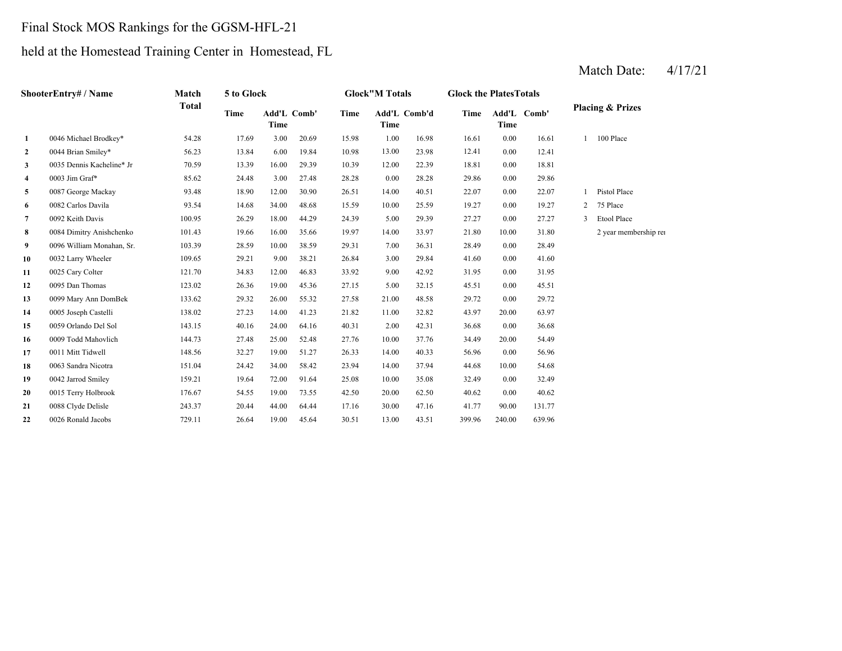### Final Stock MOS Rankings for the GGSM-HFL-21

### held at the Homestead Training Center in Homestead, FL

|                | ShooterEntry# / Name      | Match        | 5 to Glock |       |             |       | <b>Glock"M Totals</b> |              | <b>Glock the PlatesTotals</b> |        |             |                |                             |
|----------------|---------------------------|--------------|------------|-------|-------------|-------|-----------------------|--------------|-------------------------------|--------|-------------|----------------|-----------------------------|
|                |                           | <b>Total</b> | Time       | Time  | Add'L Comb' | Time  | Time                  | Add'L Comb'd | Time                          | Time   | Add'L Comb' |                | <b>Placing &amp; Prizes</b> |
| $\mathbf{1}$   | 0046 Michael Brodkey*     | 54.28        | 17.69      | 3.00  | 20.69       | 15.98 | 1.00                  | 16.98        | 16.61                         | 0.00   | 16.61       | $\mathbf{1}$   | 100 Place                   |
| $\mathbf{2}$   | 0044 Brian Smiley*        | 56.23        | 13.84      | 6.00  | 19.84       | 10.98 | 13.00                 | 23.98        | 12.41                         | 0.00   | 12.41       |                |                             |
| 3              | 0035 Dennis Kacheline* Jr | 70.59        | 13.39      | 16.00 | 29.39       | 10.39 | 12.00                 | 22.39        | 18.81                         | 0.00   | 18.81       |                |                             |
| 4              | 0003 Jim Graf*            | 85.62        | 24.48      | 3.00  | 27.48       | 28.28 | 0.00                  | 28.28        | 29.86                         | 0.00   | 29.86       |                |                             |
| 5              | 0087 George Mackay        | 93.48        | 18.90      | 12.00 | 30.90       | 26.51 | 14.00                 | 40.51        | 22.07                         | 0.00   | 22.07       |                | Pistol Place                |
| 6              | 0082 Carlos Davila        | 93.54        | 14.68      | 34.00 | 48.68       | 15.59 | 10.00                 | 25.59        | 19.27                         | 0.00   | 19.27       | $\overline{2}$ | 75 Place                    |
| $\overline{7}$ | 0092 Keith Davis          | 100.95       | 26.29      | 18.00 | 44.29       | 24.39 | 5.00                  | 29.39        | 27.27                         | 0.00   | 27.27       | 3              | Etool Place                 |
| 8              | 0084 Dimitry Anishchenko  | 101.43       | 19.66      | 16.00 | 35.66       | 19.97 | 14.00                 | 33.97        | 21.80                         | 10.00  | 31.80       |                | 2 year membership rei       |
| 9              | 0096 William Monahan, Sr. | 103.39       | 28.59      | 10.00 | 38.59       | 29.31 | 7.00                  | 36.31        | 28.49                         | 0.00   | 28.49       |                |                             |
| 10             | 0032 Larry Wheeler        | 109.65       | 29.21      | 9.00  | 38.21       | 26.84 | 3.00                  | 29.84        | 41.60                         | 0.00   | 41.60       |                |                             |
| 11             | 0025 Cary Colter          | 121.70       | 34.83      | 12.00 | 46.83       | 33.92 | 9.00                  | 42.92        | 31.95                         | 0.00   | 31.95       |                |                             |
| 12             | 0095 Dan Thomas           | 123.02       | 26.36      | 19.00 | 45.36       | 27.15 | 5.00                  | 32.15        | 45.51                         | 0.00   | 45.51       |                |                             |
| 13             | 0099 Mary Ann DomBek      | 133.62       | 29.32      | 26.00 | 55.32       | 27.58 | 21.00                 | 48.58        | 29.72                         | 0.00   | 29.72       |                |                             |
| 14             | 0005 Joseph Castelli      | 138.02       | 27.23      | 14.00 | 41.23       | 21.82 | 11.00                 | 32.82        | 43.97                         | 20.00  | 63.97       |                |                             |
| 15             | 0059 Orlando Del Sol      | 143.15       | 40.16      | 24.00 | 64.16       | 40.31 | 2.00                  | 42.31        | 36.68                         | 0.00   | 36.68       |                |                             |
| 16             | 0009 Todd Mahovlich       | 144.73       | 27.48      | 25.00 | 52.48       | 27.76 | 10.00                 | 37.76        | 34.49                         | 20.00  | 54.49       |                |                             |
| 17             | 0011 Mitt Tidwell         | 148.56       | 32.27      | 19.00 | 51.27       | 26.33 | 14.00                 | 40.33        | 56.96                         | 0.00   | 56.96       |                |                             |
| 18             | 0063 Sandra Nicotra       | 151.04       | 24.42      | 34.00 | 58.42       | 23.94 | 14.00                 | 37.94        | 44.68                         | 10.00  | 54.68       |                |                             |
| 19             | 0042 Jarrod Smiley        | 159.21       | 19.64      | 72.00 | 91.64       | 25.08 | 10.00                 | 35.08        | 32.49                         | 0.00   | 32.49       |                |                             |
| 20             | 0015 Terry Holbrook       | 176.67       | 54.55      | 19.00 | 73.55       | 42.50 | 20.00                 | 62.50        | 40.62                         | 0.00   | 40.62       |                |                             |
| 21             | 0088 Clyde Delisle        | 243.37       | 20.44      | 44.00 | 64.44       | 17.16 | 30.00                 | 47.16        | 41.77                         | 90.00  | 131.77      |                |                             |
| 22             | 0026 Ronald Jacobs        | 729.11       | 26.64      | 19.00 | 45.64       | 30.51 | 13.00                 | 43.51        | 399.96                        | 240.00 | 639.96      |                |                             |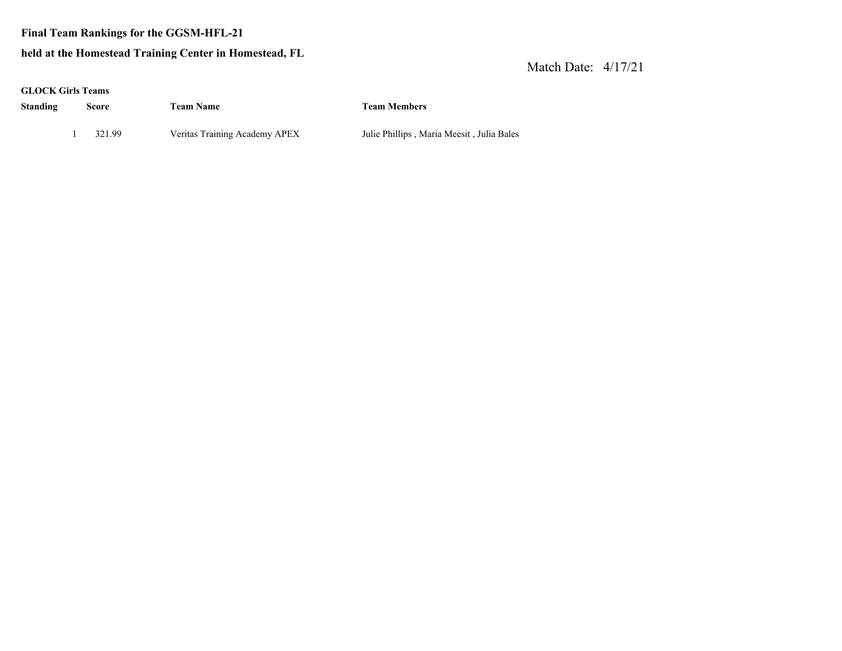**Final Team Rankings for the GGSM-HFL-21**

#### **held at the Homestead Trainin g Center in Homestead, FL**

| <b>GLOCK Girls Teams</b> |        |                               |                                           |
|--------------------------|--------|-------------------------------|-------------------------------------------|
| Standing                 | Score  | <b>Team Name</b>              | <b>Team Members</b>                       |
|                          | 321.99 | Veritas Training Academy APEX | Julie Phillips, Maria Meesit, Julia Bales |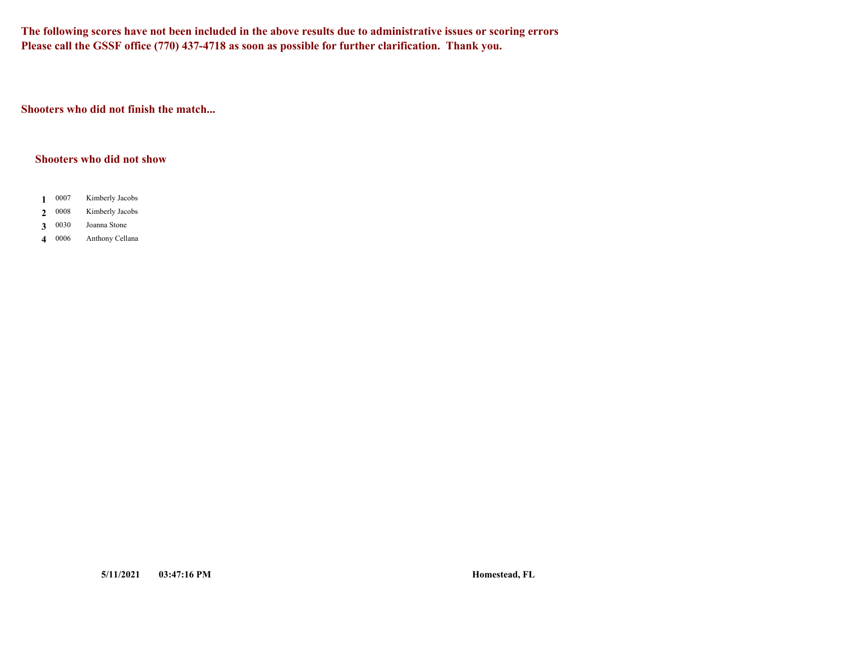**The following scores have not been included in the above results due to administrative issues or scoring errors Please call the GSSF office (770) 437-4718 as soon as possible for further clarification. Thank you.**

**Shooters who did not finish the match...**

#### **Shooters who did not show**

- 0007 **1**Kimberly Jacobs
- 0008 **2**Kimberly Jacobs
- 0030 **3**Joanna Stone
- **4**Anthony Cellana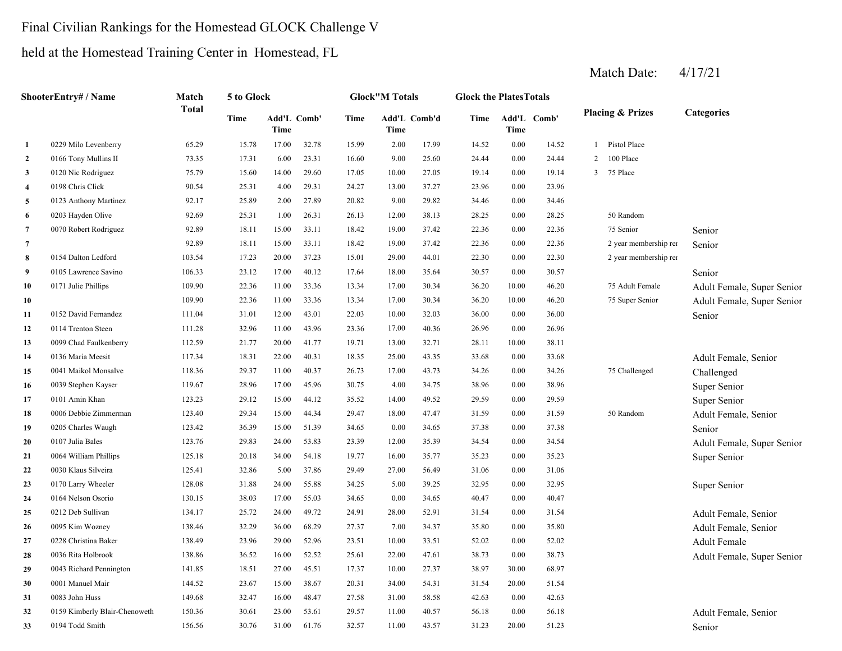## Final Civilian Rankings for the Homestead GLOCK Challenge V

held at the Homestead Training Center in Homestead, FL

|                | <b>ShooterEntry#/Name</b>     | Match        | 5 to Glock |                     |       |       | <b>Glock"M Totals</b> |       | <b>Glock the PlatesTotals</b> |          |             |                |                             |                            |
|----------------|-------------------------------|--------------|------------|---------------------|-------|-------|-----------------------|-------|-------------------------------|----------|-------------|----------------|-----------------------------|----------------------------|
|                |                               | <b>Total</b> | Time       | Add'L Comb'<br>Time |       | Time  | Add'L Comb'd<br>Time  |       | Time                          | Time     | Add'L Comb' |                | <b>Placing &amp; Prizes</b> | Categories                 |
| $\mathbf{1}$   | 0229 Milo Levenberry          | 65.29        | 15.78      | 17.00               | 32.78 | 15.99 | 2.00                  | 17.99 | 14.52                         | 0.00     | 14.52       |                | 1 Pistol Place              |                            |
| $\overline{2}$ | 0166 Tony Mullins II          | 73.35        | 17.31      | 6.00                | 23.31 | 16.60 | 9.00                  | 25.60 | 24.44                         | 0.00     | 24.44       | $\overline{2}$ | 100 Place                   |                            |
| $\mathbf{3}$   | 0120 Nic Rodriguez            | 75.79        | 15.60      | 14.00               | 29.60 | 17.05 | 10.00                 | 27.05 | 19.14                         | $0.00\,$ | 19.14       | 3 <sup>1</sup> | 75 Place                    |                            |
| $\overline{4}$ | 0198 Chris Click              | 90.54        | 25.31      | 4.00                | 29.31 | 24.27 | 13.00                 | 37.27 | 23.96                         | 0.00     | 23.96       |                |                             |                            |
| 5              | 0123 Anthony Martinez         | 92.17        | 25.89      | 2.00                | 27.89 | 20.82 | 9.00                  | 29.82 | 34.46                         | 0.00     | 34.46       |                |                             |                            |
| -6             | 0203 Hayden Olive             | 92.69        | 25.31      | 1.00                | 26.31 | 26.13 | 12.00                 | 38.13 | 28.25                         | 0.00     | 28.25       |                | 50 Random                   |                            |
| $\overline{7}$ | 0070 Robert Rodriguez         | 92.89        | 18.11      | 15.00               | 33.11 | 18.42 | 19.00                 | 37.42 | 22.36                         | 0.00     | 22.36       |                | 75 Senior                   | Senior                     |
| 7              |                               | 92.89        | 18.11      | 15.00               | 33.11 | 18.42 | 19.00                 | 37.42 | 22.36                         | $0.00\,$ | 22.36       |                | 2 year membership rei       | Senior                     |
| 8              | 0154 Dalton Ledford           | 103.54       | 17.23      | 20.00               | 37.23 | 15.01 | 29.00                 | 44.01 | 22.30                         | 0.00     | 22.30       |                | 2 year membership rei       |                            |
| 9              | 0105 Lawrence Savino          | 106.33       | 23.12      | 17.00               | 40.12 | 17.64 | 18.00                 | 35.64 | 30.57                         | 0.00     | 30.57       |                |                             | Senior                     |
| 10             | 0171 Julie Phillips           | 109.90       | 22.36      | 11.00               | 33.36 | 13.34 | 17.00                 | 30.34 | 36.20                         | 10.00    | 46.20       |                | 75 Adult Female             | Adult Female, Super Senior |
| 10             |                               | 109.90       | 22.36      | 11.00               | 33.36 | 13.34 | 17.00                 | 30.34 | 36.20                         | 10.00    | 46.20       |                | 75 Super Senior             | Adult Female, Super Senior |
| 11             | 0152 David Fernandez          | 111.04       | 31.01      | 12.00               | 43.01 | 22.03 | 10.00                 | 32.03 | 36.00                         | 0.00     | 36.00       |                |                             | Senior                     |
| 12             | 0114 Trenton Steen            | 111.28       | 32.96      | 11.00               | 43.96 | 23.36 | 17.00                 | 40.36 | 26.96                         | 0.00     | 26.96       |                |                             |                            |
| 13             | 0099 Chad Faulkenberry        | 112.59       | 21.77      | 20.00               | 41.77 | 19.71 | 13.00                 | 32.71 | 28.11                         | 10.00    | 38.11       |                |                             |                            |
| 14             | 0136 Maria Meesit             | 117.34       | 18.31      | 22.00               | 40.31 | 18.35 | 25.00                 | 43.35 | 33.68                         | 0.00     | 33.68       |                |                             | Adult Female, Senior       |
| 15             | 0041 Maikol Monsalve          | 118.36       | 29.37      | 11.00               | 40.37 | 26.73 | 17.00                 | 43.73 | 34.26                         | 0.00     | 34.26       |                | 75 Challenged               | Challenged                 |
| 16             | 0039 Stephen Kayser           | 119.67       | 28.96      | 17.00               | 45.96 | 30.75 | 4.00                  | 34.75 | 38.96                         | 0.00     | 38.96       |                |                             | Super Senior               |
| 17             | 0101 Amin Khan                | 123.23       | 29.12      | 15.00               | 44.12 | 35.52 | 14.00                 | 49.52 | 29.59                         | 0.00     | 29.59       |                |                             | Super Senior               |
| 18             | 0006 Debbie Zimmerman         | 123.40       | 29.34      | 15.00               | 44.34 | 29.47 | 18.00                 | 47.47 | 31.59                         | 0.00     | 31.59       |                | 50 Random                   | Adult Female, Senior       |
| 19             | 0205 Charles Waugh            | 123.42       | 36.39      | 15.00               | 51.39 | 34.65 | 0.00                  | 34.65 | 37.38                         | 0.00     | 37.38       |                |                             | Senior                     |
| 20             | 0107 Julia Bales              | 123.76       | 29.83      | 24.00               | 53.83 | 23.39 | 12.00                 | 35.39 | 34.54                         | 0.00     | 34.54       |                |                             | Adult Female, Super Senior |
| 21             | 0064 William Phillips         | 125.18       | 20.18      | 34.00               | 54.18 | 19.77 | 16.00                 | 35.77 | 35.23                         | 0.00     | 35.23       |                |                             | Super Senior               |
| 22             | 0030 Klaus Silveira           | 125.41       | 32.86      | 5.00                | 37.86 | 29.49 | 27.00                 | 56.49 | 31.06                         | 0.00     | 31.06       |                |                             |                            |
| 23             | 0170 Larry Wheeler            | 128.08       | 31.88      | 24.00               | 55.88 | 34.25 | 5.00                  | 39.25 | 32.95                         | 0.00     | 32.95       |                |                             | Super Senior               |
| 24             | 0164 Nelson Osorio            | 130.15       | 38.03      | 17.00               | 55.03 | 34.65 | 0.00                  | 34.65 | 40.47                         | 0.00     | 40.47       |                |                             |                            |
| 25             | 0212 Deb Sullivan             | 134.17       | 25.72      | 24.00               | 49.72 | 24.91 | 28.00                 | 52.91 | 31.54                         | 0.00     | 31.54       |                |                             | Adult Female, Senior       |
| 26             | 0095 Kim Wozney               | 138.46       | 32.29      | 36.00               | 68.29 | 27.37 | 7.00                  | 34.37 | 35.80                         | 0.00     | 35.80       |                |                             | Adult Female, Senior       |
| 27             | 0228 Christina Baker          | 138.49       | 23.96      | 29.00               | 52.96 | 23.51 | 10.00                 | 33.51 | 52.02                         | 0.00     | 52.02       |                |                             | Adult Female               |
| 28             | 0036 Rita Holbrook            | 138.86       | 36.52      | 16.00               | 52.52 | 25.61 | 22.00                 | 47.61 | 38.73                         | 0.00     | 38.73       |                |                             | Adult Female, Super Senior |
| 29             | 0043 Richard Pennington       | 141.85       | 18.51      | 27.00               | 45.51 | 17.37 | 10.00                 | 27.37 | 38.97                         | 30.00    | 68.97       |                |                             |                            |
| 30             | 0001 Manuel Mair              | 144.52       | 23.67      | 15.00               | 38.67 | 20.31 | 34.00                 | 54.31 | 31.54                         | 20.00    | 51.54       |                |                             |                            |
| 31             | 0083 John Huss                | 149.68       | 32.47      | 16.00               | 48.47 | 27.58 | 31.00                 | 58.58 | 42.63                         | 0.00     | 42.63       |                |                             |                            |
| 32             | 0159 Kimberly Blair-Chenoweth | 150.36       | 30.61      | 23.00               | 53.61 | 29.57 | 11.00                 | 40.57 | 56.18                         | 0.00     | 56.18       |                |                             | Adult Female, Senior       |
| 33             | 0194 Todd Smith               | 156.56       | 30.76      | 31.00               | 61.76 | 32.57 | 11.00                 | 43.57 | 31.23                         | 20.00    | 51.23       |                |                             | Senior                     |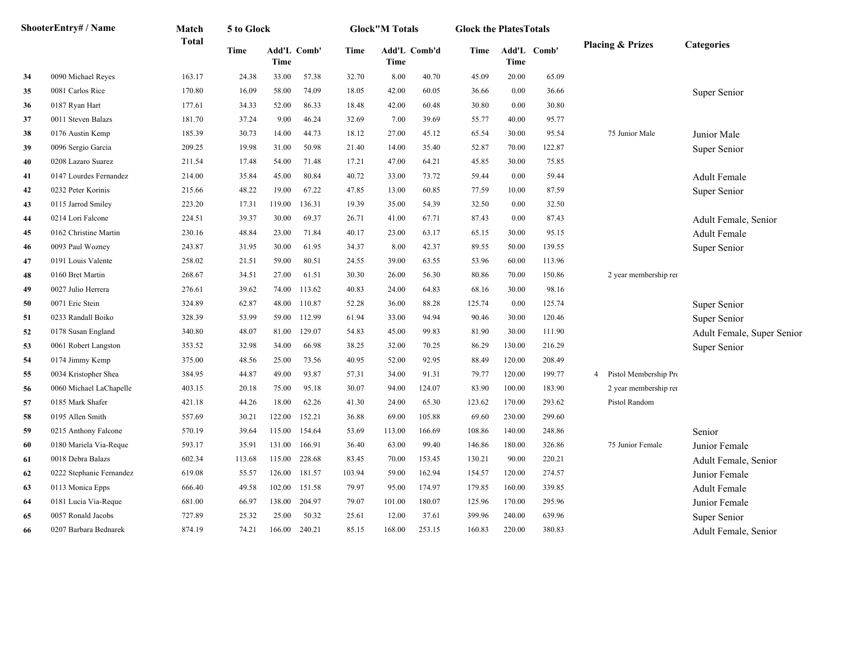|    | ShooterEntry# / Name     | Match        | 5 to Glock  |                     |        |        | <b>Glock</b> "M Totals |              | <b>Glock the PlatesTotals</b> |        |             |                                          |                            |
|----|--------------------------|--------------|-------------|---------------------|--------|--------|------------------------|--------------|-------------------------------|--------|-------------|------------------------------------------|----------------------------|
|    |                          | <b>Total</b> | <b>Time</b> | Add'L Comb'<br>Time |        | Time   | Time                   | Add'L Comb'd | Time                          | Time   | Add'L Comb' | <b>Placing &amp; Prizes</b>              | <b>Categories</b>          |
| 34 | 0090 Michael Reyes       | 163.17       | 24.38       | 33.00               | 57.38  | 32.70  | 8.00                   | 40.70        | 45.09                         | 20.00  | 65.09       |                                          |                            |
| 35 | 0081 Carlos Rice         | 170.80       | 16.09       | 58.00               | 74.09  | 18.05  | 42.00                  | 60.05        | 36.66                         | 0.00   | 36.66       |                                          | Super Senior               |
| 36 | 0187 Ryan Hart           | 177.61       | 34.33       | 52.00               | 86.33  | 18.48  | 42.00                  | 60.48        | 30.80                         | 0.00   | 30.80       |                                          |                            |
| 37 | 0011 Steven Balazs       | 181.70       | 37.24       | 9.00                | 46.24  | 32.69  | 7.00                   | 39.69        | 55.77                         | 40.00  | 95.77       |                                          |                            |
| 38 | 0176 Austin Kemp         | 185.39       | 30.73       | 14.00               | 44.73  | 18.12  | 27.00                  | 45.12        | 65.54                         | 30.00  | 95.54       | 75 Junior Male                           | Junior Male                |
| 39 | 0096 Sergio Garcia       | 209.25       | 19.98       | 31.00               | 50.98  | 21.40  | 14.00                  | 35.40        | 52.87                         | 70.00  | 122.87      |                                          | Super Senior               |
| 40 | 0208 Lazaro Suarez       | 211.54       | 17.48       | 54.00               | 71.48  | 17.21  | 47.00                  | 64.21        | 45.85                         | 30.00  | 75.85       |                                          |                            |
| 41 | 0147 Lourdes Fernandez   | 214.00       | 35.84       | 45.00               | 80.84  | 40.72  | 33.00                  | 73.72        | 59.44                         | 0.00   | 59.44       |                                          | <b>Adult Female</b>        |
| 42 | 0232 Peter Korinis       | 215.66       | 48.22       | 19.00               | 67.22  | 47.85  | 13.00                  | 60.85        | 77.59                         | 10.00  | 87.59       |                                          | Super Senior               |
| 43 | 0115 Jarrod Smiley       | 223.20       | 17.31       | 119.00              | 136.31 | 19.39  | 35.00                  | 54.39        | 32.50                         | 0.00   | 32.50       |                                          |                            |
| 44 | 0214 Lori Falcone        | 224.51       | 39.37       | 30.00               | 69.37  | 26.71  | 41.00                  | 67.71        | 87.43                         | 0.00   | 87.43       |                                          | Adult Female, Senior       |
| 45 | 0162 Christine Martin    | 230.16       | 48.84       | 23.00               | 71.84  | 40.17  | 23.00                  | 63.17        | 65.15                         | 30.00  | 95.15       |                                          | <b>Adult Female</b>        |
| 46 | 0093 Paul Wozney         | 243.87       | 31.95       | 30.00               | 61.95  | 34.37  | 8.00                   | 42.37        | 89.55                         | 50.00  | 139.55      |                                          | Super Senior               |
| 47 | 0191 Louis Valente       | 258.02       | 21.51       | 59.00               | 80.51  | 24.55  | 39.00                  | 63.55        | 53.96                         | 60.00  | 113.96      |                                          |                            |
| 48 | 0160 Bret Martin         | 268.67       | 34.51       | 27.00               | 61.51  | 30.30  | 26.00                  | 56.30        | 80.86                         | 70.00  | 150.86      | 2 year membership rei                    |                            |
| 49 | 0027 Julio Herrera       | 276.61       | 39.62       | 74.00               | 113.62 | 40.83  | 24.00                  | 64.83        | 68.16                         | 30.00  | 98.16       |                                          |                            |
| 50 | 0071 Eric Stein          | 324.89       | 62.87       | 48.00               | 110.87 | 52.28  | 36.00                  | 88.28        | 125.74                        | 0.00   | 125.74      |                                          | Super Senior               |
| 51 | 0233 Randall Boiko       | 328.39       | 53.99       | 59.00               | 112.99 | 61.94  | 33.00                  | 94.94        | 90.46                         | 30.00  | 120.46      |                                          | Super Senior               |
| 52 | 0178 Susan England       | 340.80       | 48.07       | 81.00               | 129.07 | 54.83  | 45.00                  | 99.83        | 81.90                         | 30.00  | 111.90      |                                          | Adult Female, Super Senior |
| 53 | 0061 Robert Langston     | 353.52       | 32.98       | 34.00               | 66.98  | 38.25  | 32.00                  | 70.25        | 86.29                         | 130.00 | 216.29      |                                          | Super Senior               |
| 54 | 0174 Jimmy Kemp          | 375.00       | 48.56       | 25.00               | 73.56  | 40.95  | 52.00                  | 92.95        | 88.49                         | 120.00 | 208.49      |                                          |                            |
| 55 | 0034 Kristopher Shea     | 384.95       | 44.87       | 49.00               | 93.87  | 57.31  | 34.00                  | 91.31        | 79.77                         | 120.00 | 199.77      | Pistol Membership Pro<br>$4\overline{ }$ |                            |
| 56 | 0060 Michael LaChapelle  | 403.15       | 20.18       | 75.00               | 95.18  | 30.07  | 94.00                  | 124.07       | 83.90                         | 100.00 | 183.90      | 2 year membership rei                    |                            |
| 57 | 0185 Mark Shafer         | 421.18       | 44.26       | 18.00               | 62.26  | 41.30  | 24.00                  | 65.30        | 123.62                        | 170.00 | 293.62      | Pistol Random                            |                            |
| 58 | 0195 Allen Smith         | 557.69       | 30.21       | 122.00              | 152.21 | 36.88  | 69.00                  | 105.88       | 69.60                         | 230.00 | 299.60      |                                          |                            |
| 59 | 0215 Anthony Falcone     | 570.19       | 39.64       | 115.00              | 154.64 | 53.69  | 113.00                 | 166.69       | 108.86                        | 140.00 | 248.86      |                                          | Senior                     |
| 60 | 0180 Mariela Via-Reque   | 593.17       | 35.91       | 131.00              | 166.91 | 36.40  | 63.00                  | 99.40        | 146.86                        | 180.00 | 326.86      | 75 Junior Female                         | Junior Female              |
| 61 | 0018 Debra Balazs        | 602.34       | 113.68      | 115.00              | 228.68 | 83.45  | 70.00                  | 153.45       | 130.21                        | 90.00  | 220.21      |                                          | Adult Female, Senior       |
| 62 | 0222 Stephanie Fernandez | 619.08       | 55.57       | 126.00              | 181.57 | 103.94 | 59.00                  | 162.94       | 154.57                        | 120.00 | 274.57      |                                          | Junior Female              |
| 63 | 0113 Monica Epps         | 666.40       | 49.58       | 102.00              | 151.58 | 79.97  | 95.00                  | 174.97       | 179.85                        | 160.00 | 339.85      |                                          | <b>Adult Female</b>        |
| 64 | 0181 Lucia Via-Reque     | 681.00       | 66.97       | 138.00              | 204.97 | 79.07  | 101.00                 | 180.07       | 125.96                        | 170.00 | 295.96      |                                          | Junior Female              |
| 65 | 0057 Ronald Jacobs       | 727.89       | 25.32       | 25.00               | 50.32  | 25.61  | 12.00                  | 37.61        | 399.96                        | 240.00 | 639.96      |                                          | Super Senior               |
| 66 | 0207 Barbara Bednarek    | 874.19       | 74.21       | 166.00              | 240.21 | 85.15  | 168.00                 | 253.15       | 160.83                        | 220.00 | 380.83      |                                          | Adult Female, Senior       |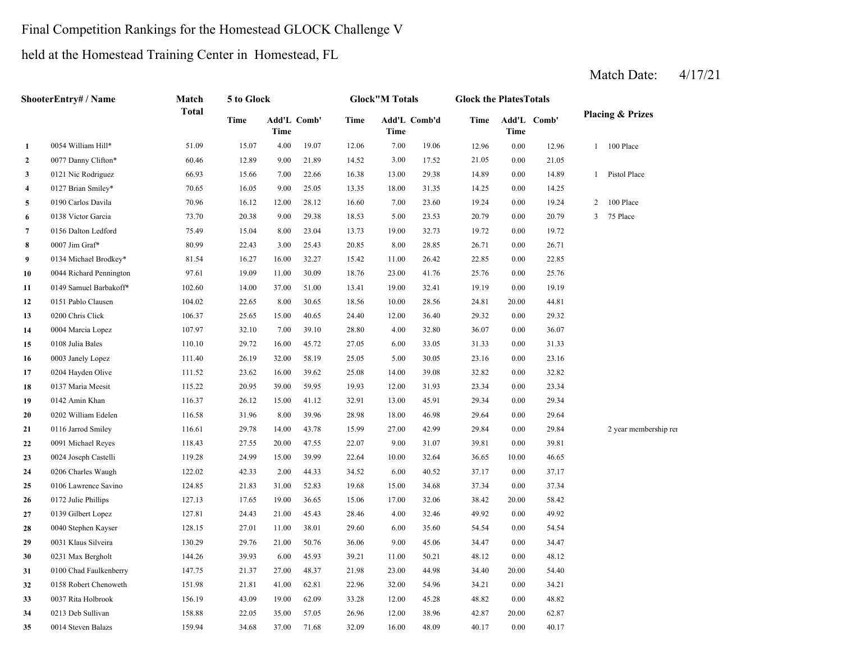### Final Competition Rankings for the Homestead GLOCK Challenge V

held at the Homestead Training Center in Homestead, FL

|              | ShooterEntry# / Name    | Match        | 5 to Glock |       |             |             | <b>Glock</b> "M Totals |              | <b>Glock the PlatesTotals</b> |       |             |                         |                             |
|--------------|-------------------------|--------------|------------|-------|-------------|-------------|------------------------|--------------|-------------------------------|-------|-------------|-------------------------|-----------------------------|
|              |                         | <b>Total</b> | Time       | Time  | Add'L Comb' | <b>Time</b> | Time                   | Add'L Comb'd | Time                          | Time  | Add'L Comb' |                         | <b>Placing &amp; Prizes</b> |
| $\mathbf{1}$ | 0054 William Hill*      | 51.09        | 15.07      | 4.00  | 19.07       | 12.06       | 7.00                   | 19.06        | 12.96                         | 0.00  | 12.96       | $\mathbf{1}$            | 100 Place                   |
| $\mathbf{2}$ | 0077 Danny Clifton*     | 60.46        | 12.89      | 9.00  | 21.89       | 14.52       | 3.00                   | 17.52        | 21.05                         | 0.00  | 21.05       |                         |                             |
| 3            | 0121 Nic Rodriguez      | 66.93        | 15.66      | 7.00  | 22.66       | 16.38       | 13.00                  | 29.38        | 14.89                         | 0.00  | 14.89       | 1                       | Pistol Place                |
| 4            | 0127 Brian Smiley*      | 70.65        | 16.05      | 9.00  | 25.05       | 13.35       | 18.00                  | 31.35        | 14.25                         | 0.00  | 14.25       |                         |                             |
| 5            | 0190 Carlos Davila      | 70.96        | 16.12      | 12.00 | 28.12       | 16.60       | 7.00                   | 23.60        | 19.24                         | 0.00  | 19.24       | $\overline{c}$          | 100 Place                   |
| 6            | 0138 Victor Garcia      | 73.70        | 20.38      | 9.00  | 29.38       | 18.53       | 5.00                   | 23.53        | 20.79                         | 0.00  | 20.79       | $\overline{\mathbf{3}}$ | 75 Place                    |
| 7            | 0156 Dalton Ledford     | 75.49        | 15.04      | 8.00  | 23.04       | 13.73       | 19.00                  | 32.73        | 19.72                         | 0.00  | 19.72       |                         |                             |
| 8            | 0007 Jim Graf*          | 80.99        | 22.43      | 3.00  | 25.43       | 20.85       | 8.00                   | 28.85        | 26.71                         | 0.00  | 26.71       |                         |                             |
| 9            | 0134 Michael Brodkey*   | 81.54        | 16.27      | 16.00 | 32.27       | 15.42       | 11.00                  | 26.42        | 22.85                         | 0.00  | 22.85       |                         |                             |
| 10           | 0044 Richard Pennington | 97.61        | 19.09      | 11.00 | 30.09       | 18.76       | 23.00                  | 41.76        | 25.76                         | 0.00  | 25.76       |                         |                             |
| 11           | 0149 Samuel Barbakoff*  | 102.60       | 14.00      | 37.00 | 51.00       | 13.41       | 19.00                  | 32.41        | 19.19                         | 0.00  | 19.19       |                         |                             |
| 12           | 0151 Pablo Clausen      | 104.02       | 22.65      | 8.00  | 30.65       | 18.56       | 10.00                  | 28.56        | 24.81                         | 20.00 | 44.81       |                         |                             |
| 13           | 0200 Chris Click        | 106.37       | 25.65      | 15.00 | 40.65       | 24.40       | 12.00                  | 36.40        | 29.32                         | 0.00  | 29.32       |                         |                             |
| 14           | 0004 Marcia Lopez       | 107.97       | 32.10      | 7.00  | 39.10       | 28.80       | 4.00                   | 32.80        | 36.07                         | 0.00  | 36.07       |                         |                             |
| 15           | 0108 Julia Bales        | 110.10       | 29.72      | 16.00 | 45.72       | 27.05       | 6.00                   | 33.05        | 31.33                         | 0.00  | 31.33       |                         |                             |
| 16           | 0003 Janely Lopez       | 111.40       | 26.19      | 32.00 | 58.19       | 25.05       | 5.00                   | 30.05        | 23.16                         | 0.00  | 23.16       |                         |                             |
| 17           | 0204 Hayden Olive       | 111.52       | 23.62      | 16.00 | 39.62       | 25.08       | 14.00                  | 39.08        | 32.82                         | 0.00  | 32.82       |                         |                             |
| 18           | 0137 Maria Meesit       | 115.22       | 20.95      | 39.00 | 59.95       | 19.93       | 12.00                  | 31.93        | 23.34                         | 0.00  | 23.34       |                         |                             |
| 19           | 0142 Amin Khan          | 116.37       | 26.12      | 15.00 | 41.12       | 32.91       | 13.00                  | 45.91        | 29.34                         | 0.00  | 29.34       |                         |                             |
| 20           | 0202 William Edelen     | 116.58       | 31.96      | 8.00  | 39.96       | 28.98       | 18.00                  | 46.98        | 29.64                         | 0.00  | 29.64       |                         |                             |
| 21           | 0116 Jarrod Smiley      | 116.61       | 29.78      | 14.00 | 43.78       | 15.99       | 27.00                  | 42.99        | 29.84                         | 0.00  | 29.84       |                         | 2 year membership rei       |
| 22           | 0091 Michael Reyes      | 118.43       | 27.55      | 20.00 | 47.55       | 22.07       | 9.00                   | 31.07        | 39.81                         | 0.00  | 39.81       |                         |                             |
| 23           | 0024 Joseph Castelli    | 119.28       | 24.99      | 15.00 | 39.99       | 22.64       | 10.00                  | 32.64        | 36.65                         | 10.00 | 46.65       |                         |                             |
| 24           | 0206 Charles Waugh      | 122.02       | 42.33      | 2.00  | 44.33       | 34.52       | 6.00                   | 40.52        | 37.17                         | 0.00  | 37.17       |                         |                             |
| 25           | 0106 Lawrence Savino    | 124.85       | 21.83      | 31.00 | 52.83       | 19.68       | 15.00                  | 34.68        | 37.34                         | 0.00  | 37.34       |                         |                             |
| 26           | 0172 Julie Phillips     | 127.13       | 17.65      | 19.00 | 36.65       | 15.06       | 17.00                  | 32.06        | 38.42                         | 20.00 | 58.42       |                         |                             |
| 27           | 0139 Gilbert Lopez      | 127.81       | 24.43      | 21.00 | 45.43       | 28.46       | 4.00                   | 32.46        | 49.92                         | 0.00  | 49.92       |                         |                             |
| 28           | 0040 Stephen Kayser     | 128.15       | 27.01      | 11.00 | 38.01       | 29.60       | 6.00                   | 35.60        | 54.54                         | 0.00  | 54.54       |                         |                             |
| 29           | 0031 Klaus Silveira     | 130.29       | 29.76      | 21.00 | 50.76       | 36.06       | 9.00                   | 45.06        | 34.47                         | 0.00  | 34.47       |                         |                             |
| 30           | 0231 Max Bergholt       | 144.26       | 39.93      | 6.00  | 45.93       | 39.21       | 11.00                  | 50.21        | 48.12                         | 0.00  | 48.12       |                         |                             |
| 31           | 0100 Chad Faulkenberry  | 147.75       | 21.37      | 27.00 | 48.37       | 21.98       | 23.00                  | 44.98        | 34.40                         | 20.00 | 54.40       |                         |                             |
| 32           | 0158 Robert Chenoweth   | 151.98       | 21.81      | 41.00 | 62.81       | 22.96       | 32.00                  | 54.96        | 34.21                         | 0.00  | 34.21       |                         |                             |
| 33           | 0037 Rita Holbrook      | 156.19       | 43.09      | 19.00 | 62.09       | 33.28       | 12.00                  | 45.28        | 48.82                         | 0.00  | 48.82       |                         |                             |
| 34           | 0213 Deb Sullivan       | 158.88       | 22.05      | 35.00 | 57.05       | 26.96       | 12.00                  | 38.96        | 42.87                         | 20.00 | 62.87       |                         |                             |
| 35           | 0014 Steven Balazs      | 159.94       | 34.68      | 37.00 | 71.68       | 32.09       | 16.00                  | 48.09        | 40.17                         | 0.00  | 40.17       |                         |                             |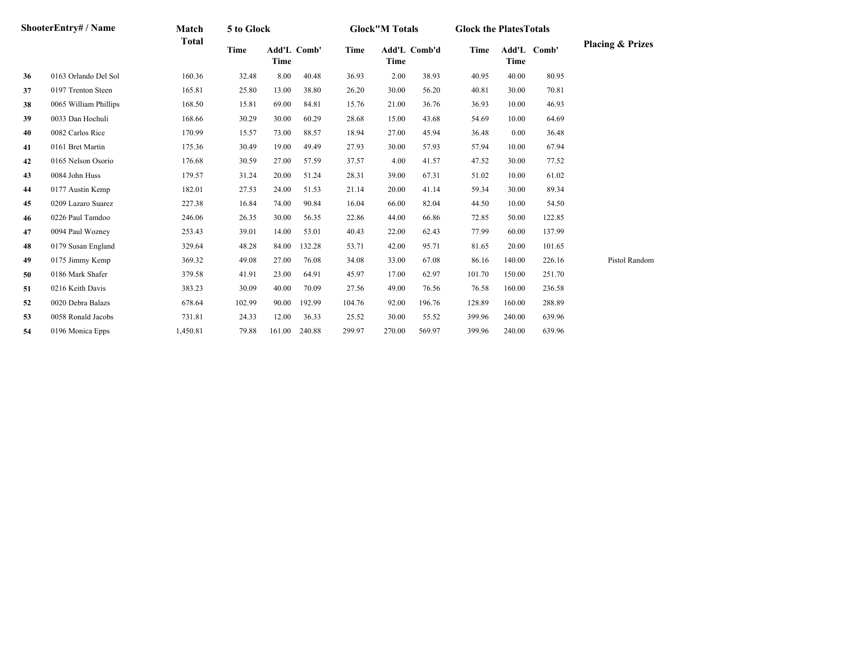|    | <b>ShooterEntry#/Name</b> | Match        | 5 to Glock  |        |             |             | <b>Glock"M Totals</b> |              | <b>Glock the PlatesTotals</b> |             |             |                             |
|----|---------------------------|--------------|-------------|--------|-------------|-------------|-----------------------|--------------|-------------------------------|-------------|-------------|-----------------------------|
|    |                           | <b>Total</b> | <b>Time</b> | Time   | Add'L Comb' | <b>Time</b> | Time                  | Add'L Comb'd | Time                          | <b>Time</b> | Add'L Comb' | <b>Placing &amp; Prizes</b> |
| 36 | 0163 Orlando Del Sol      | 160.36       | 32.48       | 8.00   | 40.48       | 36.93       | 2.00                  | 38.93        | 40.95                         | 40.00       | 80.95       |                             |
| 37 | 0197 Trenton Steen        | 165.81       | 25.80       | 13.00  | 38.80       | 26.20       | 30.00                 | 56.20        | 40.81                         | 30.00       | 70.81       |                             |
| 38 | 0065 William Phillips     | 168.50       | 15.81       | 69.00  | 84.81       | 15.76       | 21.00                 | 36.76        | 36.93                         | 10.00       | 46.93       |                             |
| 39 | 0033 Dan Hochuli          | 168.66       | 30.29       | 30.00  | 60.29       | 28.68       | 15.00                 | 43.68        | 54.69                         | 10.00       | 64.69       |                             |
| 40 | 0082 Carlos Rice          | 170.99       | 15.57       | 73.00  | 88.57       | 18.94       | 27.00                 | 45.94        | 36.48                         | 0.00        | 36.48       |                             |
| 41 | 0161 Bret Martin          | 175.36       | 30.49       | 19.00  | 49.49       | 27.93       | 30.00                 | 57.93        | 57.94                         | 10.00       | 67.94       |                             |
| 42 | 0165 Nelson Osorio        | 176.68       | 30.59       | 27.00  | 57.59       | 37.57       | 4.00                  | 41.57        | 47.52                         | 30.00       | 77.52       |                             |
| 43 | 0084 John Huss            | 179.57       | 31.24       | 20.00  | 51.24       | 28.31       | 39.00                 | 67.31        | 51.02                         | 10.00       | 61.02       |                             |
| 44 | 0177 Austin Kemp          | 182.01       | 27.53       | 24.00  | 51.53       | 21.14       | 20.00                 | 41.14        | 59.34                         | 30.00       | 89.34       |                             |
| 45 | 0209 Lazaro Suarez        | 227.38       | 16.84       | 74.00  | 90.84       | 16.04       | 66.00                 | 82.04        | 44.50                         | 10.00       | 54.50       |                             |
| 46 | 0226 Paul Tamdoo          | 246.06       | 26.35       | 30.00  | 56.35       | 22.86       | 44.00                 | 66.86        | 72.85                         | 50.00       | 122.85      |                             |
| 47 | 0094 Paul Wozney          | 253.43       | 39.01       | 14.00  | 53.01       | 40.43       | 22.00                 | 62.43        | 77.99                         | 60.00       | 137.99      |                             |
| 48 | 0179 Susan England        | 329.64       | 48.28       | 84.00  | 132.28      | 53.71       | 42.00                 | 95.71        | 81.65                         | 20.00       | 101.65      |                             |
| 49 | 0175 Jimmy Kemp           | 369.32       | 49.08       | 27.00  | 76.08       | 34.08       | 33.00                 | 67.08        | 86.16                         | 140.00      | 226.16      | Pistol Random               |
| 50 | 0186 Mark Shafer          | 379.58       | 41.91       | 23.00  | 64.91       | 45.97       | 17.00                 | 62.97        | 101.70                        | 150.00      | 251.70      |                             |
| 51 | 0216 Keith Davis          | 383.23       | 30.09       | 40.00  | 70.09       | 27.56       | 49.00                 | 76.56        | 76.58                         | 160.00      | 236.58      |                             |
| 52 | 0020 Debra Balazs         | 678.64       | 102.99      | 90.00  | 192.99      | 104.76      | 92.00                 | 196.76       | 128.89                        | 160.00      | 288.89      |                             |
| 53 | 0058 Ronald Jacobs        | 731.81       | 24.33       | 12.00  | 36.33       | 25.52       | 30.00                 | 55.52        | 399.96                        | 240.00      | 639.96      |                             |
| 54 | 0196 Monica Epps          | 1,450.81     | 79.88       | 161.00 | 240.88      | 299.97      | 270.00                | 569.97       | 399.96                        | 240.00      | 639.96      |                             |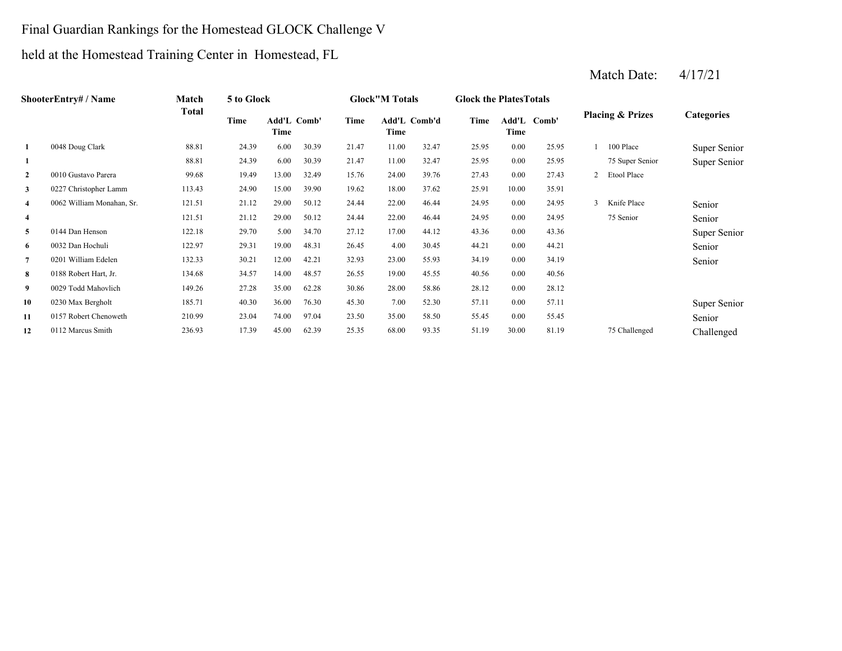### Final Guardian Rankings for the Homestead GLOCK Challenge V

# held at the Homestead Training Center in Homestead, FL

|                | <b>ShooterEntry#/Name</b> | Match        | 5 to Glock |       |             |       | <b>Glock"M Totals</b> |       | <b>Glock the Plates Totals</b> |          |             |                |                             |                   |
|----------------|---------------------------|--------------|------------|-------|-------------|-------|-----------------------|-------|--------------------------------|----------|-------------|----------------|-----------------------------|-------------------|
|                |                           | <b>Total</b> | Time       | Time  | Add'L Comb' | Time  | Add'L Comb'd<br>Time  |       | Time                           | Time     | Add'L Comb' |                | <b>Placing &amp; Prizes</b> | <b>Categories</b> |
| -1             | 0048 Doug Clark           | 88.81        | 24.39      | 6.00  | 30.39       | 21.47 | 11.00                 | 32.47 | 25.95                          | 0.00     | 25.95       |                | 100 Place                   | Super Senior      |
| 1              |                           | 88.81        | 24.39      | 6.00  | 30.39       | 21.47 | 11.00                 | 32.47 | 25.95                          | 0.00     | 25.95       |                | 75 Super Senior             | Super Senior      |
| 2              | 0010 Gustavo Parera       | 99.68        | 19.49      | 13.00 | 32.49       | 15.76 | 24.00                 | 39.76 | 27.43                          | 0.00     | 27.43       | $\overline{2}$ | Etool Place                 |                   |
| 3              | 0227 Christopher Lamm     | 113.43       | 24.90      | 15.00 | 39.90       | 19.62 | 18.00                 | 37.62 | 25.91                          | 10.00    | 35.91       |                |                             |                   |
| $\overline{4}$ | 0062 William Monahan, Sr. | 121.51       | 21.12      | 29.00 | 50.12       | 24.44 | 22.00                 | 46.44 | 24.95                          | $0.00\,$ | 24.95       | $\mathbf{3}$   | Knife Place                 | Senior            |
| $\overline{4}$ |                           | 121.51       | 21.12      | 29.00 | 50.12       | 24.44 | 22.00                 | 46.44 | 24.95                          | 0.00     | 24.95       |                | 75 Senior                   | Senior            |
| 5              | 0144 Dan Henson           | 122.18       | 29.70      | 5.00  | 34.70       | 27.12 | 17.00                 | 44.12 | 43.36                          | 0.00     | 43.36       |                |                             | Super Senior      |
| 6              | 0032 Dan Hochuli          | 122.97       | 29.31      | 19.00 | 48.31       | 26.45 | 4.00                  | 30.45 | 44.21                          | 0.00     | 44.21       |                |                             | Senior            |
| 7              | 0201 William Edelen       | 132.33       | 30.21      | 12.00 | 42.21       | 32.93 | 23.00                 | 55.93 | 34.19                          | 0.00     | 34.19       |                |                             | Senior            |
| 8              | 0188 Robert Hart, Jr.     | 134.68       | 34.57      | 14.00 | 48.57       | 26.55 | 19.00                 | 45.55 | 40.56                          | 0.00     | 40.56       |                |                             |                   |
| 9              | 0029 Todd Mahovlich       | 149.26       | 27.28      | 35.00 | 62.28       | 30.86 | 28.00                 | 58.86 | 28.12                          | 0.00     | 28.12       |                |                             |                   |
| 10             | 0230 Max Bergholt         | 185.71       | 40.30      | 36.00 | 76.30       | 45.30 | 7.00                  | 52.30 | 57.11                          | 0.00     | 57.11       |                |                             | Super Senior      |
| 11             | 0157 Robert Chenoweth     | 210.99       | 23.04      | 74.00 | 97.04       | 23.50 | 35.00                 | 58.50 | 55.45                          | 0.00     | 55.45       |                |                             | Senior            |
| 12             | 0112 Marcus Smith         | 236.93       | 17.39      | 45.00 | 62.39       | 25.35 | 68.00                 | 93.35 | 51.19                          | 30.00    | 81.19       |                | 75 Challenged               | Challenged        |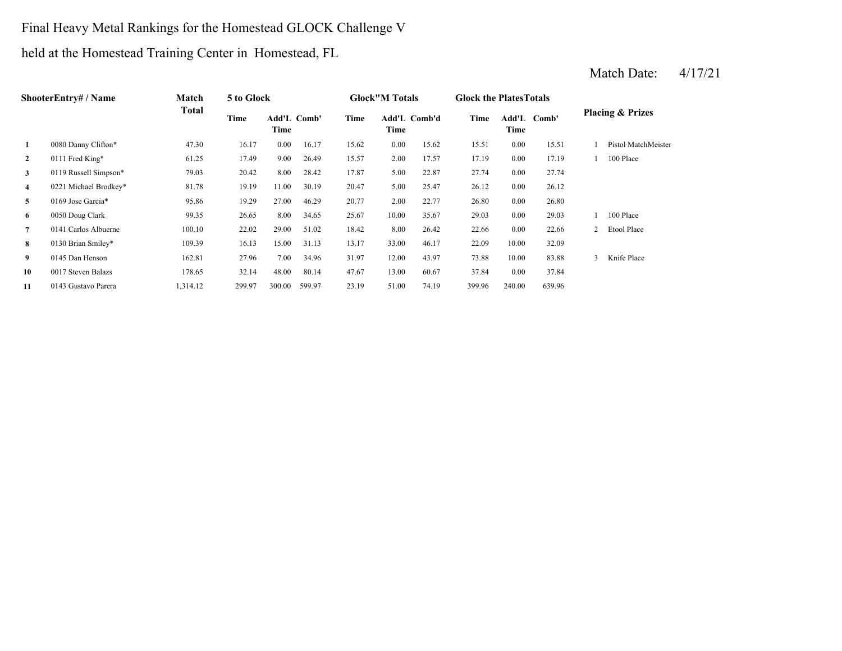## Final Heavy Metal Rankings for the Homestead GLOCK Challenge V

held at the Homestead Training Center in Homestead, FL

|                | <b>ShooterEntry#/Name</b> | Match        | 5 to Glock |                            |        |       | <b>Glock</b> "M Totals |       | <b>Glock the Plates Totals</b> |        |             |              |                             |
|----------------|---------------------------|--------------|------------|----------------------------|--------|-------|------------------------|-------|--------------------------------|--------|-------------|--------------|-----------------------------|
|                |                           | <b>Total</b> | Time       | <b>Add'L Comb'</b><br>Time |        | Time  | Add'L Comb'd<br>Time   |       | Time                           | Time   | Add'L Comb' |              | <b>Placing &amp; Prizes</b> |
| 1              | 0080 Danny Clifton*       | 47.30        | 16.17      | 0.00                       | 16.17  | 15.62 | 0.00                   | 15.62 | 15.51                          | 0.00   | 15.51       |              | Pistol MatchMeister         |
| $\overline{2}$ | 0111 Fred King*           | 61.25        | 17.49      | 9.00                       | 26.49  | 15.57 | 2.00                   | 17.57 | 17.19                          | 0.00   | 17.19       |              | 100 Place                   |
| 3              | 0119 Russell Simpson*     | 79.03        | 20.42      | 8.00                       | 28.42  | 17.87 | 5.00                   | 22.87 | 27.74                          | 0.00   | 27.74       |              |                             |
| $\overline{4}$ | 0221 Michael Brodkey*     | 81.78        | 19.19      | 11.00                      | 30.19  | 20.47 | 5.00                   | 25.47 | 26.12                          | 0.00   | 26.12       |              |                             |
| 5              | 0169 Jose Garcia*         | 95.86        | 19.29      | 27.00                      | 46.29  | 20.77 | 2.00                   | 22.77 | 26.80                          | 0.00   | 26.80       |              |                             |
| 6              | 0050 Doug Clark           | 99.35        | 26.65      | 8.00                       | 34.65  | 25.67 | 10.00                  | 35.67 | 29.03                          | 0.00   | 29.03       |              | 100 Place                   |
| 7              | 0141 Carlos Albuerne      | 100.10       | 22.02      | 29.00                      | 51.02  | 18.42 | 8.00                   | 26.42 | 22.66                          | 0.00   | 22.66       |              | Etool Place                 |
| 8              | 0130 Brian Smiley*        | 109.39       | 16.13      | 15.00                      | 31.13  | 13.17 | 33.00                  | 46.17 | 22.09                          | 10.00  | 32.09       |              |                             |
| 9              | 0145 Dan Henson           | 162.81       | 27.96      | 7.00                       | 34.96  | 31.97 | 12.00                  | 43.97 | 73.88                          | 10.00  | 83.88       | $\mathbf{3}$ | Knife Place                 |
| 10             | 0017 Steven Balazs        | 178.65       | 32.14      | 48.00                      | 80.14  | 47.67 | 13.00                  | 60.67 | 37.84                          | 0.00   | 37.84       |              |                             |
| 11             | 0143 Gustavo Parera       | 1,314.12     | 299.97     | 300.00                     | 599.97 | 23.19 | 51.00                  | 74.19 | 399.96                         | 240.00 | 639.96      |              |                             |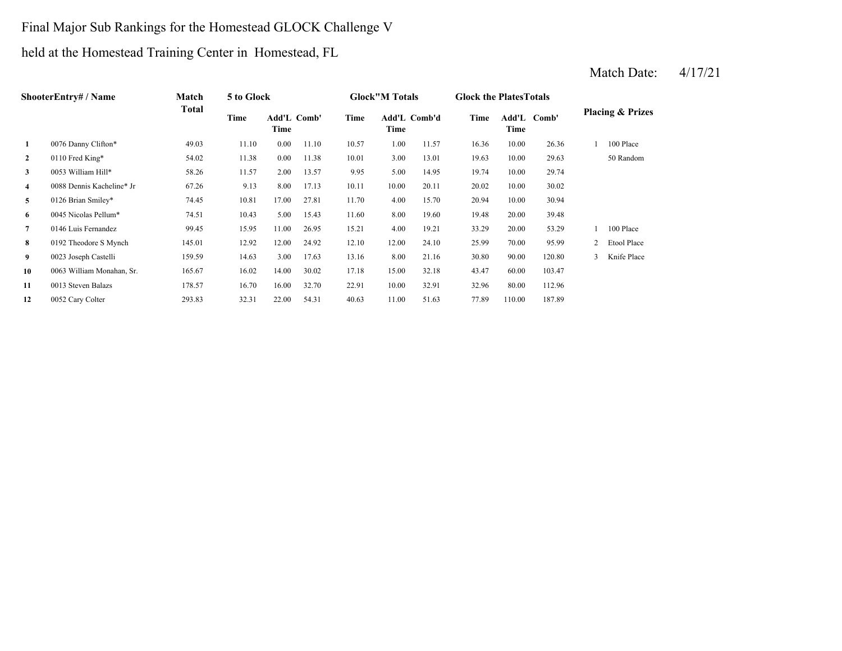### Final Major Sub Rankings for the Homestead GLOCK Challenge V

held at the Homestead Training Center in Homestead, FL

|              | ShooterEntry# / Name      | Match        | 5 to Glock |                            |       |       | <b>Glock"M Totals</b> |       | <b>Glock the Plates Totals</b> |        |             |                |                             |
|--------------|---------------------------|--------------|------------|----------------------------|-------|-------|-----------------------|-------|--------------------------------|--------|-------------|----------------|-----------------------------|
|              |                           | <b>Total</b> | Time       | <b>Add'L Comb'</b><br>Time |       | Time  | Add'L Comb'd<br>Time  |       | Time                           | Time   | Add'L Comb' |                | <b>Placing &amp; Prizes</b> |
| $\mathbf{1}$ | 0076 Danny Clifton*       | 49.03        | 11.10      | 0.00                       | 11.10 | 10.57 | 1.00                  | 11.57 | 16.36                          | 10.00  | 26.36       |                | 100 Place                   |
| $\mathbf{2}$ | 0110 Fred King*           | 54.02        | 11.38      | 0.00                       | 11.38 | 10.01 | 3.00                  | 13.01 | 19.63                          | 10.00  | 29.63       |                | 50 Random                   |
| 3            | 0053 William Hill*        | 58.26        | 11.57      | 2.00                       | 13.57 | 9.95  | 5.00                  | 14.95 | 19.74                          | 10.00  | 29.74       |                |                             |
| 4            | 0088 Dennis Kacheline* Jr | 67.26        | 9.13       | 8.00                       | 17.13 | 10.11 | 10.00                 | 20.11 | 20.02                          | 10.00  | 30.02       |                |                             |
| 5            | 0126 Brian Smiley*        | 74.45        | 10.81      | 17.00                      | 27.81 | 11.70 | 4.00                  | 15.70 | 20.94                          | 10.00  | 30.94       |                |                             |
| 6            | 0045 Nicolas Pellum*      | 74.51        | 10.43      | 5.00                       | 15.43 | 11.60 | 8.00                  | 19.60 | 19.48                          | 20.00  | 39.48       |                |                             |
| 7            | 0146 Luis Fernandez       | 99.45        | 15.95      | 11.00                      | 26.95 | 15.21 | 4.00                  | 19.21 | 33.29                          | 20.00  | 53.29       |                | 100 Place                   |
| 8            | 0192 Theodore S Mynch     | 145.01       | 12.92      | 12.00                      | 24.92 | 12.10 | 12.00                 | 24.10 | 25.99                          | 70.00  | 95.99       | $\overline{2}$ | Etool Place                 |
| 9            | 0023 Joseph Castelli      | 159.59       | 14.63      | 3.00                       | 17.63 | 13.16 | 8.00                  | 21.16 | 30.80                          | 90.00  | 120.80      | 3              | Knife Place                 |
| 10           | 0063 William Monahan, Sr. | 165.67       | 16.02      | 14.00                      | 30.02 | 17.18 | 15.00                 | 32.18 | 43.47                          | 60.00  | 103.47      |                |                             |
| 11           | 0013 Steven Balazs        | 178.57       | 16.70      | 16.00                      | 32.70 | 22.91 | 10.00                 | 32.91 | 32.96                          | 80.00  | 112.96      |                |                             |
| 12           | 0052 Cary Colter          | 293.83       | 32.31      | 22.00                      | 54.31 | 40.63 | 11.00                 | 51.63 | 77.89                          | 110.00 | 187.89      |                |                             |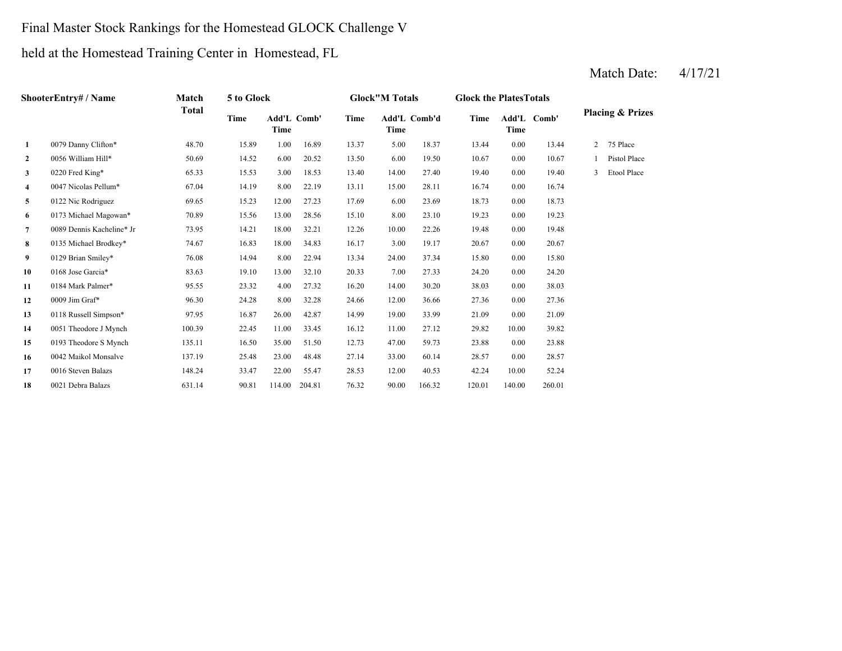### Final Master Stock Rankings for the Homestead GLOCK Challenge V

held at the Homestead Training Center in Homestead, FL

|                | ShooterEntry# / Name      | Match        | 5 to Glock |        |             |       | <b>Glock"M Totals</b> |              | <b>Glock the Plates Totals</b> |        |             |                |                             |
|----------------|---------------------------|--------------|------------|--------|-------------|-------|-----------------------|--------------|--------------------------------|--------|-------------|----------------|-----------------------------|
|                |                           | <b>Total</b> | Time       | Time   | Add'L Comb' | Time  | Time                  | Add'L Comb'd | Time                           | Time   | Add'L Comb' |                | <b>Placing &amp; Prizes</b> |
| $\mathbf{1}$   | 0079 Danny Clifton*       | 48.70        | 15.89      | 1.00   | 16.89       | 13.37 | 5.00                  | 18.37        | 13.44                          | 0.00   | 13.44       | $\overline{2}$ | 75 Place                    |
| $\mathbf{2}$   | 0056 William Hill*        | 50.69        | 14.52      | 6.00   | 20.52       | 13.50 | 6.00                  | 19.50        | 10.67                          | 0.00   | 10.67       |                | Pistol Place                |
| $\mathbf{3}$   | 0220 Fred King*           | 65.33        | 15.53      | 3.00   | 18.53       | 13.40 | 14.00                 | 27.40        | 19.40                          | 0.00   | 19.40       | $\mathbf{3}$   | Etool Place                 |
| 4              | 0047 Nicolas Pellum*      | 67.04        | 14.19      | 8.00   | 22.19       | 13.11 | 15.00                 | 28.11        | 16.74                          | 0.00   | 16.74       |                |                             |
| 5              | 0122 Nic Rodriguez        | 69.65        | 15.23      | 12.00  | 27.23       | 17.69 | 6.00                  | 23.69        | 18.73                          | 0.00   | 18.73       |                |                             |
| 6              | 0173 Michael Magowan*     | 70.89        | 15.56      | 13.00  | 28.56       | 15.10 | 8.00                  | 23.10        | 19.23                          | 0.00   | 19.23       |                |                             |
| $\overline{7}$ | 0089 Dennis Kacheline* Jr | 73.95        | 14.21      | 18.00  | 32.21       | 12.26 | 10.00                 | 22.26        | 19.48                          | 0.00   | 19.48       |                |                             |
| 8              | 0135 Michael Brodkey*     | 74.67        | 16.83      | 18.00  | 34.83       | 16.17 | 3.00                  | 19.17        | 20.67                          | 0.00   | 20.67       |                |                             |
| 9              | 0129 Brian Smiley*        | 76.08        | 14.94      | 8.00   | 22.94       | 13.34 | 24.00                 | 37.34        | 15.80                          | 0.00   | 15.80       |                |                             |
| 10             | 0168 Jose Garcia*         | 83.63        | 19.10      | 13.00  | 32.10       | 20.33 | 7.00                  | 27.33        | 24.20                          | 0.00   | 24.20       |                |                             |
| 11             | 0184 Mark Palmer*         | 95.55        | 23.32      | 4.00   | 27.32       | 16.20 | 14.00                 | 30.20        | 38.03                          | 0.00   | 38.03       |                |                             |
| 12             | 0009 Jim Graf*            | 96.30        | 24.28      | 8.00   | 32.28       | 24.66 | 12.00                 | 36.66        | 27.36                          | 0.00   | 27.36       |                |                             |
| 13             | 0118 Russell Simpson*     | 97.95        | 16.87      | 26.00  | 42.87       | 14.99 | 19.00                 | 33.99        | 21.09                          | 0.00   | 21.09       |                |                             |
| 14             | 0051 Theodore J Mynch     | 100.39       | 22.45      | 11.00  | 33.45       | 16.12 | 11.00                 | 27.12        | 29.82                          | 10.00  | 39.82       |                |                             |
| 15             | 0193 Theodore S Mynch     | 135.11       | 16.50      | 35.00  | 51.50       | 12.73 | 47.00                 | 59.73        | 23.88                          | 0.00   | 23.88       |                |                             |
| 16             | 0042 Maikol Monsalve      | 137.19       | 25.48      | 23.00  | 48.48       | 27.14 | 33.00                 | 60.14        | 28.57                          | 0.00   | 28.57       |                |                             |
| 17             | 0016 Steven Balazs        | 148.24       | 33.47      | 22.00  | 55.47       | 28.53 | 12.00                 | 40.53        | 42.24                          | 10.00  | 52.24       |                |                             |
| 18             | 0021 Debra Balazs         | 631.14       | 90.81      | 114.00 | 204.81      | 76.32 | 90.00                 | 166.32       | 120.01                         | 140.00 | 260.01      |                |                             |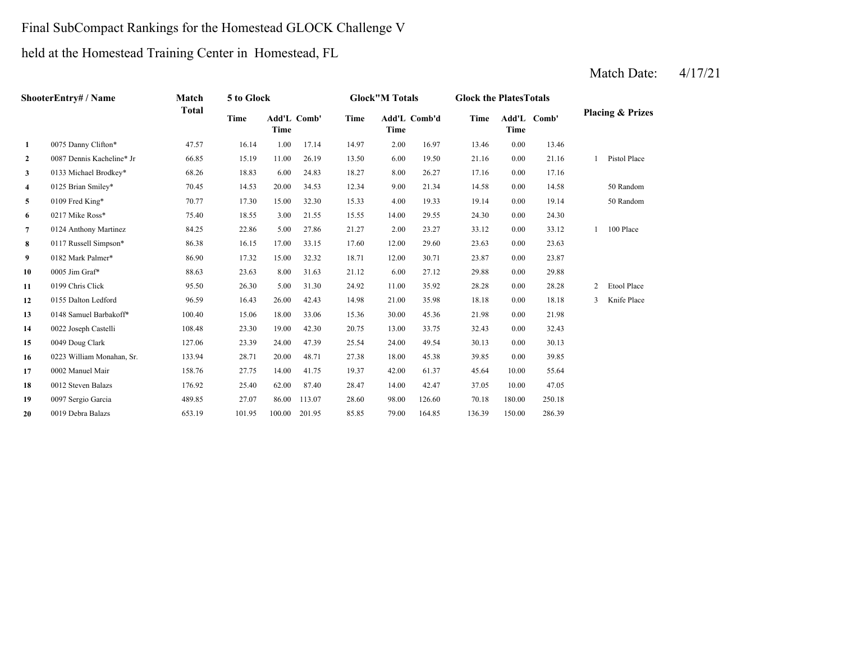### Final SubCompact Rankings for the Homestead GLOCK Challenge V

held at the Homestead Training Center in Homestead, FL

| ShooterEntry# / Name |                           | Match<br>Total | 5 to Glock                         |        |        | <b>Glock"M Totals</b> |             |              | <b>Glock the Plates Totals</b> |             |             |                             |              |
|----------------------|---------------------------|----------------|------------------------------------|--------|--------|-----------------------|-------------|--------------|--------------------------------|-------------|-------------|-----------------------------|--------------|
|                      |                           |                | Add'L Comb'<br>Time<br><b>Time</b> |        |        | Time                  | <b>Time</b> | Add'L Comb'd | Time                           | <b>Time</b> | Add'L Comb' | <b>Placing &amp; Prizes</b> |              |
| 1                    | 0075 Danny Clifton*       | 47.57          | 16.14                              | 1.00   | 17.14  | 14.97                 | 2.00        | 16.97        | 13.46                          | 0.00        | 13.46       |                             |              |
| $\mathbf{2}$         | 0087 Dennis Kacheline* Jr | 66.85          | 15.19                              | 11.00  | 26.19  | 13.50                 | 6.00        | 19.50        | 21.16                          | 0.00        | 21.16       |                             | Pistol Place |
| 3                    | 0133 Michael Brodkey*     | 68.26          | 18.83                              | 6.00   | 24.83  | 18.27                 | 8.00        | 26.27        | 17.16                          | 0.00        | 17.16       |                             |              |
| 4                    | 0125 Brian Smiley*        | 70.45          | 14.53                              | 20.00  | 34.53  | 12.34                 | 9.00        | 21.34        | 14.58                          | 0.00        | 14.58       |                             | 50 Random    |
| 5                    | 0109 Fred King*           | 70.77          | 17.30                              | 15.00  | 32.30  | 15.33                 | 4.00        | 19.33        | 19.14                          | 0.00        | 19.14       |                             | 50 Random    |
| 6                    | 0217 Mike Ross*           | 75.40          | 18.55                              | 3.00   | 21.55  | 15.55                 | 14.00       | 29.55        | 24.30                          | 0.00        | 24.30       |                             |              |
| $\overline{7}$       | 0124 Anthony Martinez     | 84.25          | 22.86                              | 5.00   | 27.86  | 21.27                 | 2.00        | 23.27        | 33.12                          | 0.00        | 33.12       |                             | 100 Place    |
| 8                    | 0117 Russell Simpson*     | 86.38          | 16.15                              | 17.00  | 33.15  | 17.60                 | 12.00       | 29.60        | 23.63                          | 0.00        | 23.63       |                             |              |
| 9                    | 0182 Mark Palmer*         | 86.90          | 17.32                              | 15.00  | 32.32  | 18.71                 | 12.00       | 30.71        | 23.87                          | 0.00        | 23.87       |                             |              |
| 10                   | 0005 Jim Graf*            | 88.63          | 23.63                              | 8.00   | 31.63  | 21.12                 | 6.00        | 27.12        | 29.88                          | 0.00        | 29.88       |                             |              |
| 11                   | 0199 Chris Click          | 95.50          | 26.30                              | 5.00   | 31.30  | 24.92                 | 11.00       | 35.92        | 28.28                          | 0.00        | 28.28       | 2                           | Etool Place  |
| 12                   | 0155 Dalton Ledford       | 96.59          | 16.43                              | 26.00  | 42.43  | 14.98                 | 21.00       | 35.98        | 18.18                          | 0.00        | 18.18       | 3                           | Knife Place  |
| 13                   | 0148 Samuel Barbakoff*    | 100.40         | 15.06                              | 18.00  | 33.06  | 15.36                 | 30.00       | 45.36        | 21.98                          | 0.00        | 21.98       |                             |              |
| 14                   | 0022 Joseph Castelli      | 108.48         | 23.30                              | 19.00  | 42.30  | 20.75                 | 13.00       | 33.75        | 32.43                          | 0.00        | 32.43       |                             |              |
| 15                   | 0049 Doug Clark           | 127.06         | 23.39                              | 24.00  | 47.39  | 25.54                 | 24.00       | 49.54        | 30.13                          | 0.00        | 30.13       |                             |              |
| 16                   | 0223 William Monahan, Sr. | 133.94         | 28.71                              | 20.00  | 48.71  | 27.38                 | 18.00       | 45.38        | 39.85                          | 0.00        | 39.85       |                             |              |
| 17                   | 0002 Manuel Mair          | 158.76         | 27.75                              | 14.00  | 41.75  | 19.37                 | 42.00       | 61.37        | 45.64                          | 10.00       | 55.64       |                             |              |
| 18                   | 0012 Steven Balazs        | 176.92         | 25.40                              | 62.00  | 87.40  | 28.47                 | 14.00       | 42.47        | 37.05                          | 10.00       | 47.05       |                             |              |
| 19                   | 0097 Sergio Garcia        | 489.85         | 27.07                              | 86.00  | 113.07 | 28.60                 | 98.00       | 126.60       | 70.18                          | 180.00      | 250.18      |                             |              |
| 20                   | 0019 Debra Balazs         | 653.19         | 101.95                             | 100.00 | 201.95 | 85.85                 | 79.00       | 164.85       | 136.39                         | 150.00      | 286.39      |                             |              |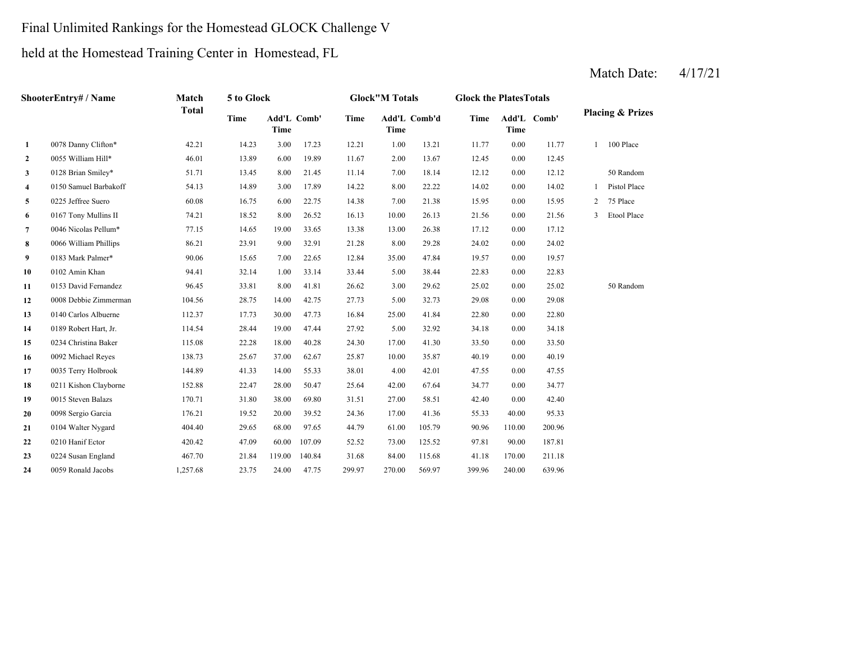### Final Unlimited Rankings for the Homestead GLOCK Challenge V

held at the Homestead Training Center in Homestead, FL

| ShooterEntry# / Name |                       | Match        | 5 to Glock |                     |        | <b>Glock"M Totals</b> |                      |        | <b>Glock the PlatesTotals</b> |             |             |                             |              |
|----------------------|-----------------------|--------------|------------|---------------------|--------|-----------------------|----------------------|--------|-------------------------------|-------------|-------------|-----------------------------|--------------|
|                      |                       | <b>Total</b> | Time       | Add'L Comb'<br>Time |        | <b>Time</b>           | Add'L Comb'd<br>Time |        | <b>Time</b>                   | <b>Time</b> | Add'L Comb' | <b>Placing &amp; Prizes</b> |              |
| 1                    | 0078 Danny Clifton*   | 42.21        | 14.23      | 3.00                | 17.23  | 12.21                 | 1.00                 | 13.21  | 11.77                         | 0.00        | 11.77       |                             | 100 Place    |
| $\mathbf{2}$         | 0055 William Hill*    | 46.01        | 13.89      | 6.00                | 19.89  | 11.67                 | 2.00                 | 13.67  | 12.45                         | 0.00        | 12.45       |                             |              |
| 3                    | 0128 Brian Smiley*    | 51.71        | 13.45      | 8.00                | 21.45  | 11.14                 | 7.00                 | 18.14  | 12.12                         | 0.00        | 12.12       |                             | 50 Random    |
| 4                    | 0150 Samuel Barbakoff | 54.13        | 14.89      | 3.00                | 17.89  | 14.22                 | 8.00                 | 22.22  | 14.02                         | 0.00        | 14.02       |                             | Pistol Place |
| 5                    | 0225 Jeffree Suero    | 60.08        | 16.75      | 6.00                | 22.75  | 14.38                 | 7.00                 | 21.38  | 15.95                         | 0.00        | 15.95       | $\overline{c}$              | 75 Place     |
| 6                    | 0167 Tony Mullins II  | 74.21        | 18.52      | 8.00                | 26.52  | 16.13                 | 10.00                | 26.13  | 21.56                         | 0.00        | 21.56       | 3                           | Etool Place  |
| $\overline{7}$       | 0046 Nicolas Pellum*  | 77.15        | 14.65      | 19.00               | 33.65  | 13.38                 | 13.00                | 26.38  | 17.12                         | 0.00        | 17.12       |                             |              |
| 8                    | 0066 William Phillips | 86.21        | 23.91      | 9.00                | 32.91  | 21.28                 | 8.00                 | 29.28  | 24.02                         | 0.00        | 24.02       |                             |              |
| 9                    | 0183 Mark Palmer*     | 90.06        | 15.65      | 7.00                | 22.65  | 12.84                 | 35.00                | 47.84  | 19.57                         | 0.00        | 19.57       |                             |              |
| 10                   | 0102 Amin Khan        | 94.41        | 32.14      | 1.00                | 33.14  | 33.44                 | 5.00                 | 38.44  | 22.83                         | 0.00        | 22.83       |                             |              |
| 11                   | 0153 David Fernandez  | 96.45        | 33.81      | 8.00                | 41.81  | 26.62                 | 3.00                 | 29.62  | 25.02                         | 0.00        | 25.02       |                             | 50 Random    |
| 12                   | 0008 Debbie Zimmerman | 104.56       | 28.75      | 14.00               | 42.75  | 27.73                 | 5.00                 | 32.73  | 29.08                         | 0.00        | 29.08       |                             |              |
| 13                   | 0140 Carlos Albuerne  | 112.37       | 17.73      | 30.00               | 47.73  | 16.84                 | 25.00                | 41.84  | 22.80                         | 0.00        | 22.80       |                             |              |
| 14                   | 0189 Robert Hart, Jr. | 114.54       | 28.44      | 19.00               | 47.44  | 27.92                 | 5.00                 | 32.92  | 34.18                         | 0.00        | 34.18       |                             |              |
| 15                   | 0234 Christina Baker  | 115.08       | 22.28      | 18.00               | 40.28  | 24.30                 | 17.00                | 41.30  | 33.50                         | 0.00        | 33.50       |                             |              |
| 16                   | 0092 Michael Reyes    | 138.73       | 25.67      | 37.00               | 62.67  | 25.87                 | 10.00                | 35.87  | 40.19                         | 0.00        | 40.19       |                             |              |
| 17                   | 0035 Terry Holbrook   | 144.89       | 41.33      | 14.00               | 55.33  | 38.01                 | 4.00                 | 42.01  | 47.55                         | 0.00        | 47.55       |                             |              |
| 18                   | 0211 Kishon Clayborne | 152.88       | 22.47      | 28.00               | 50.47  | 25.64                 | 42.00                | 67.64  | 34.77                         | 0.00        | 34.77       |                             |              |
| 19                   | 0015 Steven Balazs    | 170.71       | 31.80      | 38.00               | 69.80  | 31.51                 | 27.00                | 58.51  | 42.40                         | 0.00        | 42.40       |                             |              |
| 20                   | 0098 Sergio Garcia    | 176.21       | 19.52      | 20.00               | 39.52  | 24.36                 | 17.00                | 41.36  | 55.33                         | 40.00       | 95.33       |                             |              |
| 21                   | 0104 Walter Nygard    | 404.40       | 29.65      | 68.00               | 97.65  | 44.79                 | 61.00                | 105.79 | 90.96                         | 110.00      | 200.96      |                             |              |
| 22                   | 0210 Hanif Ector      | 420.42       | 47.09      | 60.00               | 107.09 | 52.52                 | 73.00                | 125.52 | 97.81                         | 90.00       | 187.81      |                             |              |
| 23                   | 0224 Susan England    | 467.70       | 21.84      | 119.00              | 140.84 | 31.68                 | 84.00                | 115.68 | 41.18                         | 170.00      | 211.18      |                             |              |
| 24                   | 0059 Ronald Jacobs    | 1,257.68     | 23.75      | 24.00               | 47.75  | 299.97                | 270.00               | 569.97 | 399.96                        | 240.00      | 639.96      |                             |              |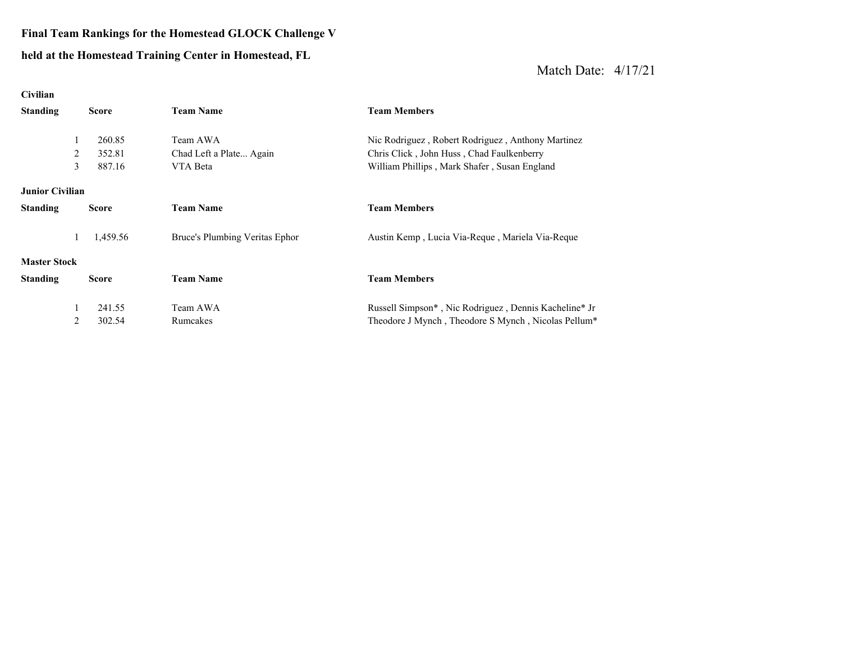# **Final Team Rankings for the Homestead GLOCK Challenge V**

#### **held at the Homestead Trainin g Center in Homestead, FL**

| Civilian               |              |                                |                                                                 |
|------------------------|--------------|--------------------------------|-----------------------------------------------------------------|
| <b>Standing</b>        | <b>Score</b> | <b>Team Name</b>               | <b>Team Members</b>                                             |
| 1                      | 260.85       | Team AWA                       |                                                                 |
|                        |              |                                | Nic Rodriguez, Robert Rodriguez, Anthony Martinez               |
| 2                      | 352.81       | Chad Left a Plate Again        | Chris Click, John Huss, Chad Faulkenberry                       |
| 3                      | 887.16       | VTA Beta                       | William Phillips, Mark Shafer, Susan England                    |
| <b>Junior Civilian</b> |              |                                |                                                                 |
| <b>Standing</b>        | <b>Score</b> | <b>Team Name</b>               | <b>Team Members</b>                                             |
| 1                      | 1,459.56     | Bruce's Plumbing Veritas Ephor | Austin Kemp, Lucia Via-Reque, Mariela Via-Reque                 |
| <b>Master Stock</b>    |              |                                |                                                                 |
| <b>Standing</b>        | <b>Score</b> | <b>Team Name</b>               | <b>Team Members</b>                                             |
|                        | 241.55       | Team AWA                       | Russell Simpson*, Nic Rodriguez, Dennis Kacheline* Jr           |
|                        |              |                                |                                                                 |
| 2                      | 302.54       | Rumcakes                       | Theodore J Mynch, Theodore S Mynch, Nicolas Pellum <sup>*</sup> |